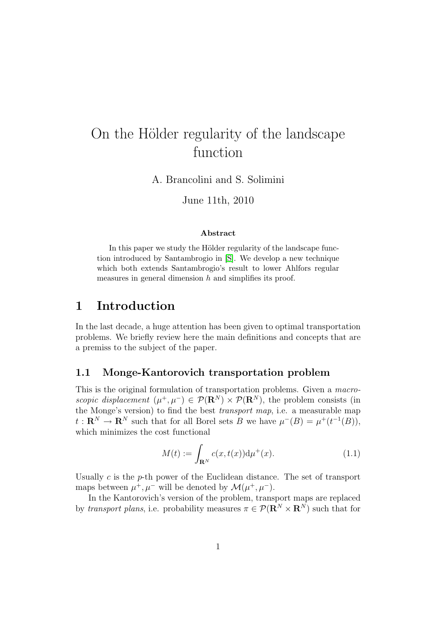# On the Hölder regularity of the landscape function

A. Brancolini and S. Solimini

June 11th, 2010

#### Abstract

In this paper we study the Hölder regularity of the landscape function introduced by Santambrogio in [\[S\]](#page-41-0). We develop a new technique which both extends Santambrogio's result to lower Ahlfors regular measures in general dimension  $h$  and simplifies its proof.

## 1 Introduction

In the last decade, a huge attention has been given to optimal transportation problems. We briefly review here the main definitions and concepts that are a premiss to the subject of the paper.

### 1.1 Monge-Kantorovich transportation problem

This is the original formulation of transportation problems. Given a macroscopic displacement  $(\mu^+, \mu^-) \in \mathcal{P}(\mathbf{R}^N) \times \mathcal{P}(\mathbf{R}^N)$ , the problem consists (in the Monge's version) to find the best *transport map*, i.e. a measurable map  $t: \mathbf{R}^{N} \to \mathbf{R}^{N}$  such that for all Borel sets B we have  $\mu^{-}(B) = \mu^{+}(t^{-1}(B)),$ which minimizes the cost functional

<span id="page-0-0"></span>
$$
M(t) := \int_{\mathbf{R}^N} c(x, t(x)) \mathrm{d}\mu^+(x). \tag{1.1}
$$

Usually  $c$  is the  $p$ -th power of the Euclidean distance. The set of transport maps between  $\mu^+, \mu^-$  will be denoted by  $\mathcal{M}(\mu^+, \mu^-)$ .

In the Kantorovich's version of the problem, transport maps are replaced by transport plans, i.e. probability measures  $\pi \in \mathcal{P}(\mathbb{R}^N \times \mathbb{R}^N)$  such that for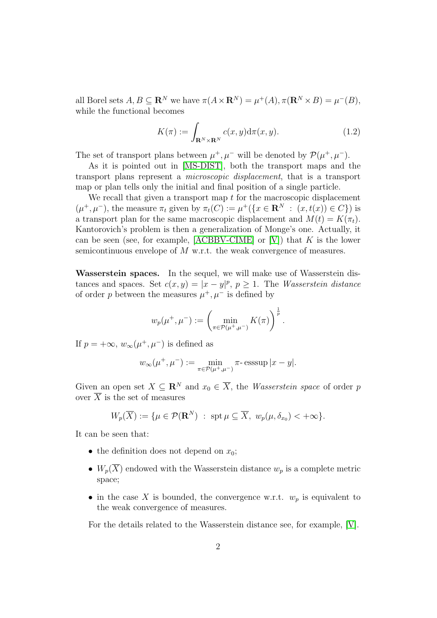all Borel sets  $A, B \subseteq \mathbb{R}^N$  we have  $\pi(A \times \mathbb{R}^N) = \mu^+(A), \pi(\mathbb{R}^N \times B) = \mu^-(B),$ while the functional becomes

<span id="page-1-0"></span>
$$
K(\pi) := \int_{\mathbf{R}^N \times \mathbf{R}^N} c(x, y) d\pi(x, y).
$$
 (1.2)

The set of transport plans between  $\mu^+, \mu^-$  will be denoted by  $\mathcal{P}(\mu^+, \mu^-)$ .

As it is pointed out in [\[MS-DIST\]](#page-41-1), both the transport maps and the transport plans represent a microscopic displacement, that is a transport map or plan tells only the initial and final position of a single particle.

We recall that given a transport map  $t$  for the macroscopic displacement  $(\mu^+, \mu^-)$ , the measure  $\pi_t$  given by  $\pi_t(C) := \mu^+({x \in \mathbf{R}^N : (x, t(x)) \in C})$  is a transport plan for the same macroscopic displacement and  $M(t) = K(\pi_t)$ . Kantorovich's problem is then a generalization of Monge's one. Actually, it can be seen (see, for example,  $[ACBBV-CIME]$  or  $[V]$ ) that K is the lower semicontinuous envelope of M w.r.t. the weak convergence of measures.

Wasserstein spaces. In the sequel, we will make use of Wasserstein distances and spaces. Set  $c(x, y) = |x - y|^p$ ,  $p \ge 1$ . The *Wasserstein distance* of order p between the measures  $\mu^+, \mu^-$  is defined by

$$
w_p(\mu^+, \mu^-) := \left(\min_{\pi \in \mathcal{P}(\mu^+, \mu^-)} K(\pi)\right)^{\frac{1}{p}}.
$$

If  $p = +\infty$ ,  $w_{\infty}(\mu^+, \mu^-)$  is defined as

$$
w_{\infty}(\mu^+, \mu^-) := \min_{\pi \in \mathcal{P}(\mu^+, \mu^-)} \pi
$$
-esssup  $|x - y|$ .

Given an open set  $X \subseteq \mathbb{R}^N$  and  $x_0 \in \overline{X}$ , the *Wasserstein space* of order p over  $\overline{X}$  is the set of measures

$$
W_p(\overline{X}) := \{ \mu \in \mathcal{P}(\mathbf{R}^N) : \operatorname{spt} \mu \subseteq \overline{X}, w_p(\mu, \delta_{x_0}) < +\infty \}.
$$

It can be seen that:

- the definition does not depend on  $x_0$ ;
- $W_p(\overline{X})$  endowed with the Wasserstein distance  $w_p$  is a complete metric space;
- in the case X is bounded, the convergence w.r.t.  $w_p$  is equivalent to the weak convergence of measures.

For the details related to the Wasserstein distance see, for example, [\[V\]](#page-41-2).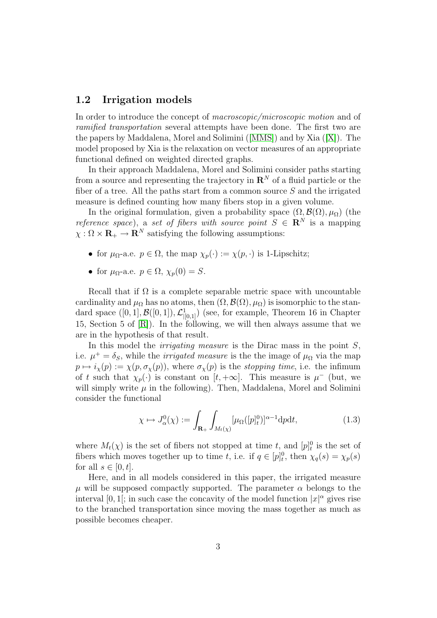### 1.2 Irrigation models

In order to introduce the concept of *macroscopic/microscopic motion* and of ramified transportation several attempts have been done. The first two are the papers by Maddalena, Morel and Solimini ([\[MMS\]](#page-41-3)) and by Xia ([\[X\]](#page-41-4)). The model proposed by Xia is the relaxation on vector measures of an appropriate functional defined on weighted directed graphs.

In their approach Maddalena, Morel and Solimini consider paths starting from a source and representing the trajectory in  $\mathbb{R}^N$  of a fluid particle or the fiber of a tree. All the paths start from a common source  $S$  and the irrigated measure is defined counting how many fibers stop in a given volume.

In the original formulation, given a probability space  $(\Omega, \mathcal{B}(\Omega), \mu_{\Omega})$  (the reference space), a set of fibers with source point  $S \in \mathbb{R}^N$  is a mapping  $\chi : \Omega \times \mathbf{R}_{+} \to \mathbf{R}^{N}$  satisfying the following assumptions:

- for  $\mu_{\Omega}$ -a.e.  $p \in \Omega$ , the map  $\chi_p(\cdot) := \chi(p, \cdot)$  is 1-Lipschitz;
- for  $\mu_{\Omega}$ -a.e.  $p \in \Omega$ ,  $\chi_p(0) = S$ .

Recall that if  $\Omega$  is a complete separable metric space with uncountable cardinality and  $\mu_{\Omega}$  has no atoms, then  $(\Omega, \mathcal{B}(\Omega), \mu_{\Omega})$  is isomorphic to the standard space  $([0, 1], \mathcal{B}([0, 1]), \mathcal{L}^1_{|[0, 1]})$  (see, for example, Theorem 16 in Chapter 15, Section 5 of  $[R]$ ). In the following, we will then always assume that we are in the hypothesis of that result.

In this model the *irrigating measure* is the Dirac mass in the point  $S$ , i.e.  $\mu^+ = \delta_S$ , while the *irrigated measure* is the the image of  $\mu_{\Omega}$  via the map  $p \mapsto i_{\chi}(p) := \chi(p, \sigma_{\chi}(p))$ , where  $\sigma_{\chi}(p)$  is the stopping time, i.e. the infimum of t such that  $\chi_p(\cdot)$  is constant on [t, + $\infty$ ]. This measure is  $\mu^-$  (but, we will simply write  $\mu$  in the following). Then, Maddalena, Morel and Solimini consider the functional

$$
\chi \mapsto J_{\alpha}^{0}(\chi) := \int_{\mathbf{R}_{+}} \int_{M_{t}(\chi)} [\mu_{\Omega}([p]_{t}^{0})]^{\alpha - 1} \mathrm{d}p \mathrm{d}t, \tag{1.3}
$$

where  $M_t(\chi)$  is the set of fibers not stopped at time t, and  $[p]_t^0$  is the set of fibers which moves together up to time t, i.e. if  $q \in [p]_t^0$ , then  $\chi_q(s) = \chi_p(s)$ for all  $s \in [0, t]$ .

Here, and in all models considered in this paper, the irrigated measure  $\mu$  will be supposed compactly supported. The parameter  $\alpha$  belongs to the interval [0, 1]; in such case the concavity of the model function  $|x|^{\alpha}$  gives rise to the branched transportation since moving the mass together as much as possible becomes cheaper.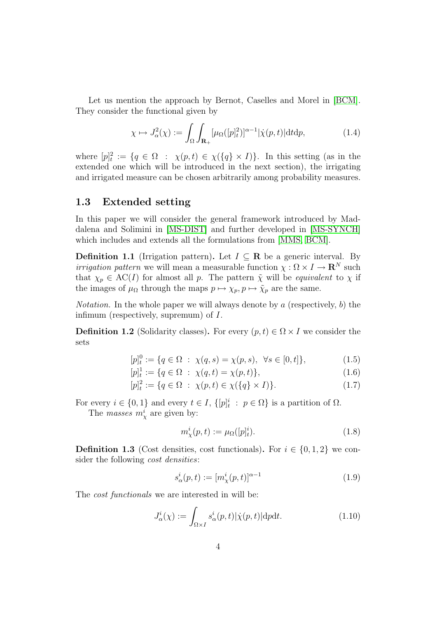Let us mention the approach by Bernot, Caselles and Morel in [\[BCM\]](#page-40-1). They consider the functional given by

$$
\chi \mapsto J_{\alpha}^{2}(\chi) := \int_{\Omega} \int_{\mathbf{R}_{+}} [\mu_{\Omega}([p]_{t}^{2})]^{\alpha - 1} |\dot{\chi}(p, t)| dt dp, \qquad (1.4)
$$

where  $[p]_t^2 := \{q \in \Omega : \chi(p, t) \in \chi(\{q\} \times I)\}.$  In this setting (as in the extended one which will be introduced in the next section), the irrigating and irrigated measure can be chosen arbitrarily among probability measures.

### 1.3 Extended setting

In this paper we will consider the general framework introduced by Maddalena and Solimini in [\[MS-DIST\]](#page-41-1) and further developed in [\[MS-SYNCH\]](#page-41-6) which includes and extends all the formulations from [\[MMS,](#page-41-3) [BCM\]](#page-40-1).

<span id="page-3-0"></span>**Definition 1.1** (Irrigation pattern). Let  $I \subseteq \mathbb{R}$  be a generic interval. By *irrigation pattern* we will mean a measurable function  $\chi : \Omega \times I \to \mathbb{R}^N$  such that  $\chi_p \in AC(I)$  for almost all p. The pattern  $\tilde{\chi}$  will be *equivalent* to  $\chi$  if the images of  $\mu_{\Omega}$  through the maps  $p \mapsto \chi_p, p \mapsto \tilde{\chi}_p$  are the same.

*Notation*. In the whole paper we will always denote by a (respectively, b) the infimum (respectively, supremum) of I.

<span id="page-3-1"></span>**Definition 1.2** (Solidarity classes). For every  $(p, t) \in \Omega \times I$  we consider the sets

$$
[p]_t^0 := \{ q \in \Omega \; : \; \chi(q, s) = \chi(p, s), \; \forall s \in [0, t] \}, \tag{1.5}
$$

$$
[p]_t^1 := \{ q \in \Omega \; : \; \chi(q, t) = \chi(p, t) \},\tag{1.6}
$$

$$
[p]_t^2 := \{ q \in \Omega \; : \; \chi(p, t) \in \chi(\{q\} \times I) \}. \tag{1.7}
$$

For every  $i \in \{0,1\}$  and every  $t \in I$ ,  $\{[p]_t^i : p \in \Omega\}$  is a partition of  $\Omega$ .

The *masses*  $m_{\chi}^{i}$  are given by:

<span id="page-3-3"></span>
$$
m_{\chi}^{i}(p,t) := \mu_{\Omega}([p]_{t}^{i}).
$$
\n(1.8)

<span id="page-3-2"></span>**Definition 1.3** (Cost densities, cost functionals). For  $i \in \{0, 1, 2\}$  we consider the following *cost densities*:

$$
s_{\alpha}^{i}(p,t) := [m_{\chi}^{i}(p,t)]^{\alpha - 1}
$$
\n(1.9)

The *cost functionals* we are interested in will be:

$$
J^i_{\alpha}(\chi) := \int_{\Omega \times I} s^i_{\alpha}(p, t) |\dot{\chi}(p, t)| \mathrm{d}p \mathrm{d}t. \tag{1.10}
$$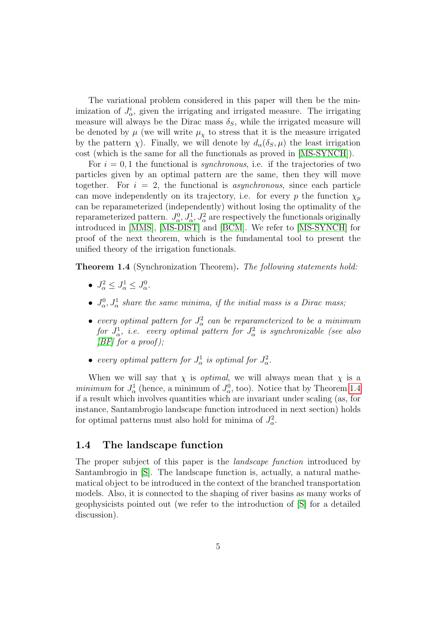The variational problem considered in this paper will then be the minimization of  $J^i_\alpha$ , given the irrigating and irrigated measure. The irrigating measure will always be the Dirac mass  $\delta_S$ , while the irrigated measure will be denoted by  $\mu$  (we will write  $\mu_{\chi}$  to stress that it is the measure irrigated by the pattern  $\chi$ ). Finally, we will denote by  $d_{\alpha}(\delta_S, \mu)$  the least irrigation cost (which is the same for all the functionals as proved in [\[MS-SYNCH\]](#page-41-6)).

For  $i = 0, 1$  the functional is *synchronous*, i.e. if the trajectories of two particles given by an optimal pattern are the same, then they will move together. For  $i = 2$ , the functional is *asynchronous*, since each particle can move independently on its trajectory, i.e. for every p the function  $\chi_p$ can be reparameterized (independently) without losing the optimality of the reparameterized pattern.  $J_{\alpha}^0, J_{\alpha}^1, J_{\alpha}^2$  are respectively the functionals originally introduced in [\[MMS\]](#page-41-3), [\[MS-DIST\]](#page-41-1) and [\[BCM\]](#page-40-1). We refer to [\[MS-SYNCH\]](#page-41-6) for proof of the next theorem, which is the fundamental tool to present the unified theory of the irrigation functionals.

<span id="page-4-0"></span>Theorem 1.4 (Synchronization Theorem). The following statements hold:

- $J_{\alpha}^2 \leq J_{\alpha}^1 \leq J_{\alpha}^0$ .
- $J_{\alpha}^0, J_{\alpha}^1$  share the same minima, if the initial mass is a Dirac mass;
- every optimal pattern for  $J^2_\alpha$  can be reparameterized to be a minimum  ${\it for} \,\, J^1_\alpha, \,\, i.e. \,\, \, {\it every \,\, optimal \,\, pattern \,\, for} \,\, J^2_\alpha \,\, is \,\, synchronized \,\, (see \,\, also \,\, as \,\, the \,\, the \,\, {\it there \,\,} {\it there \,\,} {\it there \,\,} {\it there \,\,} {\it there \,\,} {\it there \,\,} {\it there \,\,} {\it there \,\,} {\it there \,\,} {\it there \,\,} {\it there \,\,} {\it there \,\,} {\it there \,\,} {\it there \,\,} {\it there \,\,} {\it there \,\,} {\it there \,\,} {\it there \,\,} {\it there \,\,} {\it there \,\,}$  $|BF|$  for a proof);
- every optimal pattern for  $J^1_\alpha$  is optimal for  $J^2_\alpha$ .

When we will say that  $\chi$  is *optimal*, we will always mean that  $\chi$  is a minimum for  $J^1_\alpha$  (hence, a minimum of  $J^0_\alpha$ , too). Notice that by Theorem [1.4](#page-4-0) if a result which involves quantities which are invariant under scaling (as, for instance, Santambrogio landscape function introduced in next section) holds for optimal patterns must also hold for minima of  $J^2_\alpha$ .

### 1.4 The landscape function

The proper subject of this paper is the *landscape function* introduced by Santambrogio in [\[S\]](#page-41-0). The landscape function is, actually, a natural mathematical object to be introduced in the context of the branched transportation models. Also, it is connected to the shaping of river basins as many works of geophysicists pointed out (we refer to the introduction of [\[S\]](#page-41-0) for a detailed discussion).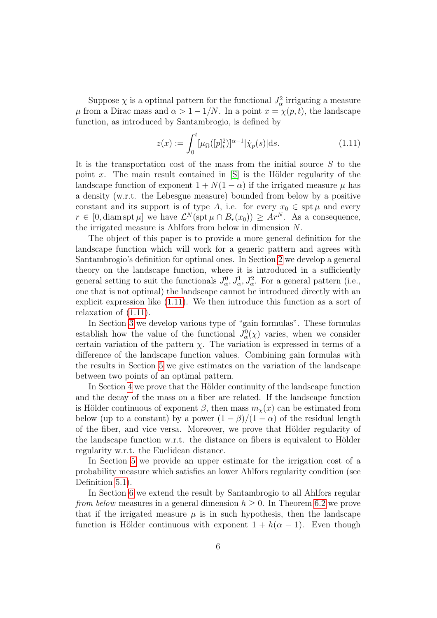Suppose  $\chi$  is a optimal pattern for the functional  $J_{\alpha}^2$  irrigating a measure  $\mu$  from a Dirac mass and  $\alpha > 1 - 1/N$ . In a point  $x = \chi(p, t)$ , the landscape function, as introduced by Santambrogio, is defined by

<span id="page-5-0"></span>
$$
z(x) := \int_0^t [\mu_\Omega([p]^2)]^{\alpha - 1} |\dot{\chi}_p(s)| \, ds. \tag{1.11}
$$

It is the transportation cost of the mass from the initial source  $S$  to the point x. The main result contained in  $[S]$  is the Hölder regularity of the landscape function of exponent  $1 + N(1 - \alpha)$  if the irrigated measure  $\mu$  has a density (w.r.t. the Lebesgue measure) bounded from below by a positive constant and its support is of type A, i.e. for every  $x_0 \in \operatorname{spt} \mu$  and every  $r \in [0, \text{diam} \text{ spt } \mu]$  we have  $\mathcal{L}^N(\text{spt } \mu \cap B_r(x_0)) \geq Ar^N$ . As a consequence, the irrigated measure is Ahlfors from below in dimension N.

The object of this paper is to provide a more general definition for the landscape function which will work for a generic pattern and agrees with Santambrogio's definition for optimal ones. In Section [2](#page-6-0) we develop a general theory on the landscape function, where it is introduced in a sufficiently general setting to suit the functionals  $J^0_\alpha, J^1_\alpha, J^2_\alpha$ . For a general pattern (i.e., one that is not optimal) the landscape cannot be introduced directly with an explicit expression like [\(1.11\)](#page-5-0). We then introduce this function as a sort of relaxation of [\(1.11\)](#page-5-0).

In Section [3](#page-11-0) we develop various type of "gain formulas". These formulas establish how the value of the functional  $J^0_\alpha(\chi)$  varies, when we consider certain variation of the pattern  $\chi$ . The variation is expressed in terms of a difference of the landscape function values. Combining gain formulas with the results in Section [5](#page-20-0) we give estimates on the variation of the landscape between two points of an optimal pattern.

In Section [4](#page-18-0) we prove that the Hölder continuity of the landscape function and the decay of the mass on a fiber are related. If the landscape function is Hölder continuous of exponent  $\beta$ , then mass  $m_{\chi}(x)$  can be estimated from below (up to a constant) by a power  $(1 - \beta)/(1 - \alpha)$  of the residual length of the fiber, and vice versa. Moreover, we prove that Hölder regularity of the landscape function w.r.t. the distance on fibers is equivalent to Hölder regularity w.r.t. the Euclidean distance.

In Section [5](#page-20-0) we provide an upper estimate for the irrigation cost of a probability measure which satisfies an lower Ahlfors regularity condition (see Definition [5.1\)](#page-3-0).

In Section [6](#page-22-0) we extend the result by Santambrogio to all Ahlfors regular from below measures in a general dimension  $h \geq 0$ . In Theorem [6.2](#page-3-1) we prove that if the irrigated measure  $\mu$  is in such hypothesis, then the landscape function is Hölder continuous with exponent  $1 + h(\alpha - 1)$ . Even though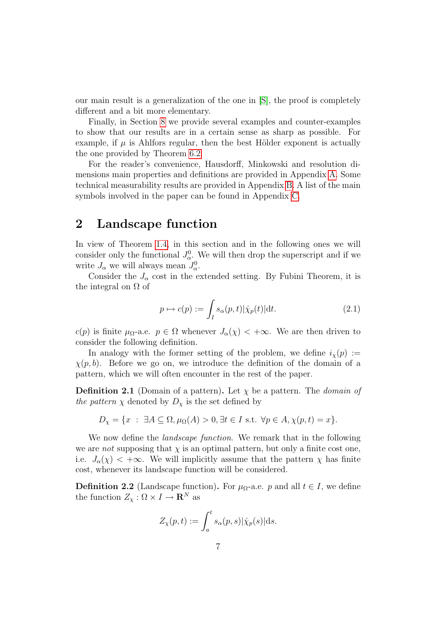our main result is a generalization of the one in [\[S\]](#page-41-0), the proof is completely different and a bit more elementary.

Finally, in Section [8](#page-30-0) we provide several examples and counter-examples to show that our results are in a certain sense as sharp as possible. For example, if  $\mu$  is Ahlfors regular, then the best Hölder exponent is actually the one provided by Theorem [6.2.](#page-3-1)

For the reader's convenience, Hausdorff, Minkowski and resolution dimensions main properties and definitions are provided in Appendix [A.](#page-35-0) Some technical measurability results are provided in Appendix [B.](#page-37-0) A list of the main symbols involved in the paper can be found in Appendix [C.](#page-39-0)

## <span id="page-6-0"></span>2 Landscape function

In view of Theorem [1.4,](#page-4-0) in this section and in the following ones we will consider only the functional  $J_{\alpha}^{0}$ . We will then drop the superscript and if we write  $J_{\alpha}$  we will always mean  $J_{\alpha}^{0}$ .

Consider the  $J_{\alpha}$  cost in the extended setting. By Fubini Theorem, it is the integral on  $\Omega$  of

<span id="page-6-1"></span>
$$
p \mapsto c(p) := \int_{I} s_{\alpha}(p, t) |\dot{\chi}_p(t)| \mathrm{d}t. \tag{2.1}
$$

c(p) is finite  $\mu_{\Omega}$ -a.e.  $p \in \Omega$  whenever  $J_{\alpha}(\chi) < +\infty$ . We are then driven to consider the following definition.

In analogy with the former setting of the problem, we define  $i_{\chi}(p) :=$  $\chi(p, b)$ . Before we go on, we introduce the definition of the domain of a pattern, which we will often encounter in the rest of the paper.

**Definition 2.1** (Domain of a pattern). Let  $\chi$  be a pattern. The *domain of* the pattern  $\chi$  denoted by  $D_{\chi}$  is the set defined by

$$
D_{\chi} = \{x : \ \exists A \subseteq \Omega, \mu_{\Omega}(A) > 0, \exists t \in I \text{ s.t. } \forall p \in A, \chi(p, t) = x\}.
$$

We now define the *landscape function*. We remark that in the following we are *not* supposing that  $\chi$  is an optimal pattern, but only a finite cost one, i.e.  $J_{\alpha}(\chi) < +\infty$ . We will implicitly assume that the pattern  $\chi$  has finite cost, whenever its landscape function will be considered.

**Definition 2.2** (Landscape function). For  $\mu_{\Omega}$ -a.e. p and all  $t \in I$ , we define the function  $Z_{\chi}: \Omega \times I \to \mathbf{R}^N$  as

$$
Z_{\chi}(p,t) := \int_a^t s_{\alpha}(p,s) |\dot{\chi}_p(s)| ds.
$$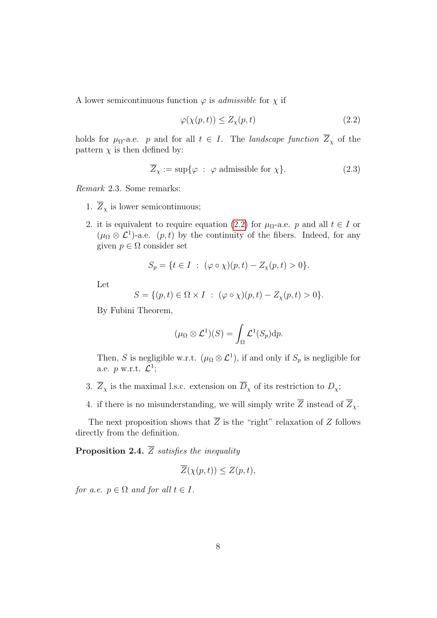A lower semicontinuous function  $\varphi$  is *admissible* for  $\chi$  if

<span id="page-7-0"></span>
$$
\varphi(\chi(p,t)) \le Z_{\chi}(p,t) \tag{2.2}
$$

holds for  $\mu_{\Omega}$ -a.e. p and for all  $t \in I$ . The *landscape function*  $\overline{Z}_\chi$  of the pattern  $\chi$  is then defined by:

$$
\overline{Z}_{\chi} := \sup \{ \varphi \; : \; \varphi \text{ admissible for } \chi \}. \tag{2.3}
$$

Remark 2.3. Some remarks:

- 1.  $\overline{Z}_\chi$  is lower semicontinuous;
- 2. it is equivalent to require equation [\(2.2\)](#page-7-0) for  $\mu_{\Omega}$ -a.e. p and all  $t \in I$  or  $(\mu_{\Omega} \otimes \mathcal{L}^{1})$ -a.e.  $(p, t)$  by the continuity of the fibers. Indeed, for any given  $p \in \Omega$  consider set

$$
S_p = \{ t \in I : (\varphi \circ \chi)(p, t) - Z_{\chi}(p, t) > 0 \}.
$$

Let

$$
S = \{ (p, t) \in \Omega \times I : (\varphi \circ \chi)(p, t) - Z_{\chi}(p, t) > 0 \}.
$$

By Fubini Theorem,

$$
(\mu_{\Omega} \otimes \mathcal{L}^{1})(S) = \int_{\Omega} \mathcal{L}^{1}(S_{p}) dp.
$$

Then, S is negligible w.r.t.  $(\mu_{\Omega} \otimes \mathcal{L}^1)$ , if and only if  $S_p$  is negligible for a.e.  $p$  w.r.t.  $\mathcal{L}^1$ ;

- 3.  $\overline{Z}_\chi$  is the maximal l.s.c. extension on  $\overline{D}_\chi$  of its restriction to  $D_\chi$ ;
- 4. if there is no misunderstanding, we will simply write  $\overline{Z}$  instead of  $\overline{Z}_x$ .

The next proposition shows that  $\overline{Z}$  is the "right" relaxation of Z follows directly from the definition.

**Proposition 2.4.**  $\overline{Z}$  satisfies the inequality

$$
\overline{Z}(\chi(p,t)) \leq Z(p,t),
$$

for a.e.  $p \in \Omega$  and for all  $t \in I$ .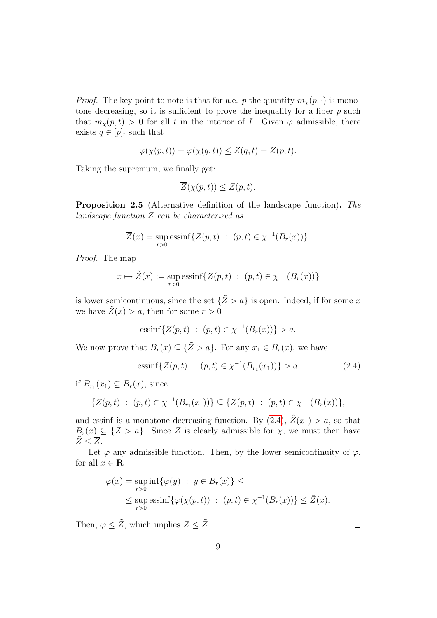*Proof.* The key point to note is that for a.e. p the quantity  $m_{\chi}(p, \cdot)$  is monotone decreasing, so it is sufficient to prove the inequality for a fiber  $p$  such that  $m_{\chi}(p, t) > 0$  for all t in the interior of I. Given  $\varphi$  admissible, there exists  $q \in [p]_t$  such that

$$
\varphi(\chi(p,t)) = \varphi(\chi(q,t)) \le Z(q,t) = Z(p,t).
$$

Taking the supremum, we finally get:

$$
\overline{Z}(\chi(p,t)) \leq Z(p,t). \qquad \qquad \Box
$$

<span id="page-8-1"></span>Proposition 2.5 (Alternative definition of the landscape function). The landscape function  $\overline{Z}$  can be characterized as

$$
\overline{Z}(x) = \sup_{r>0} \operatorname{essinf} \{ Z(p,t) : (p,t) \in \chi^{-1}(B_r(x)) \}.
$$

Proof. The map

$$
x \mapsto \tilde{Z}(x) := \sup_{r>0} \text{essinf} \{ Z(p, t) : (p, t) \in \chi^{-1}(B_r(x)) \}
$$

is lower semicontinuous, since the set  $\{\tilde{Z} > a\}$  is open. Indeed, if for some x we have  $\tilde{Z}(x) > a$ , then for some  $r > 0$ 

essinf
$$
\{Z(p,t) : (p,t) \in \chi^{-1}(B_r(x))\} > a
$$
.

We now prove that  $B_r(x) \subseteq {\{\tilde{Z} > a\}}$ . For any  $x_1 \in B_r(x)$ , we have

<span id="page-8-0"></span>
$$
essinf\{Z(p,t) : (p,t) \in \chi^{-1}(B_{r_1}(x_1))\} > a,
$$
\n(2.4)

if  $B_{r_1}(x_1) \subseteq B_r(x)$ , since

$$
\{Z(p,t) : (p,t) \in \chi^{-1}(B_{r_1}(x_1))\} \subseteq \{Z(p,t) : (p,t) \in \chi^{-1}(B_r(x))\},\
$$

and essinf is a monotone decreasing function. By  $(2.4)$ ,  $\tilde{Z}(x_1) > a$ , so that  $B_r(x) \subseteq {\{\tilde{Z} > a\}}$ . Since  $\tilde{Z}$  is clearly admissible for  $\chi$ , we must then have  $\tilde{Z} \leq \overline{Z}$ .

Let  $\varphi$  any admissible function. Then, by the lower semicontinuity of  $\varphi$ , for all  $x \in \mathbf{R}$ 

$$
\varphi(x) = \sup_{r>0} \inf \{ \varphi(y) : y \in B_r(x) \} \le
$$
  
\$\leq\$ sup  $\text{essinf} \{ \varphi(\chi(p, t)) : (p, t) \in \chi^{-1}(B_r(x)) \} \leq \tilde{Z}(x).$ 

Then,  $\varphi \leq \tilde{Z}$ , which implies  $\overline{Z} \leq \tilde{Z}$ .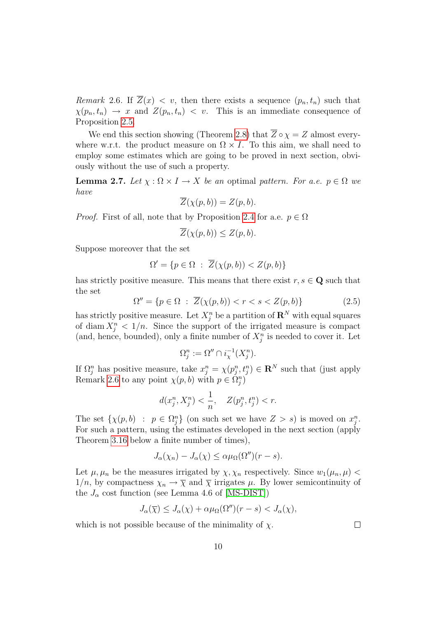<span id="page-9-0"></span>Remark 2.6. If  $\overline{Z}(x) < v$ , then there exists a sequence  $(p_n, t_n)$  such that  $\chi(p_n, t_n) \to x$  and  $Z(p_n, t_n) < v$ . This is an immediate consequence of Proposition [2.5.](#page-8-1)

We end this section showing (Theorem [2.8\)](#page-10-0) that  $\overline{Z} \circ \chi = Z$  almost everywhere w.r.t. the product measure on  $\Omega \times I$ . To this aim, we shall need to employ some estimates which are going to be proved in next section, obviously without the use of such a property.

<span id="page-9-1"></span>**Lemma 2.7.** Let  $\chi : \Omega \times I \to X$  be an optimal pattern. For a.e.  $p \in \Omega$  we have

$$
\overline{Z}(\chi(p,b)) = Z(p,b).
$$

*Proof.* First of all, note that by Proposition [2.4](#page-4-0) for a.e.  $p \in \Omega$ 

$$
\overline{Z}(\chi(p,b)) \le Z(p,b).
$$

Suppose moreover that the set

$$
\Omega' = \{ p \in \Omega \; : \; \overline{Z}(\chi(p, b)) < Z(p, b) \}
$$

has strictly positive measure. This means that there exist  $r, s \in \mathbf{Q}$  such that the set

$$
\Omega'' = \{ p \in \Omega \; : \; \overline{Z}(\chi(p, b)) < r < s < Z(p, b) \} \tag{2.5}
$$

has strictly positive measure. Let  $X_j^n$  be a partition of  $\mathbf{R}^N$  with equal squares of diam  $X_j^n < 1/n$ . Since the support of the irrigated measure is compact (and, hence, bounded), only a finite number of  $X_j^n$  is needed to cover it. Let

$$
\Omega_j^n := \Omega'' \cap i_{\chi}^{-1}(X_j^n).
$$

If  $\Omega_j^n$  has positive measure, take  $x_j^n = \chi(p_j^n, t_j^n) \in \mathbb{R}^N$  such that (just apply Remark [2.6](#page-9-0) to any point  $\chi(p, b)$  with  $p \in \tilde{\Omega}_j^n$ 

$$
d(x_j^n, X_j^n) < \frac{1}{n}, \quad Z(p_j^n, t_j^n) < r.
$$

The set  $\{\chi(p, b) : p \in \Omega_j^n\}$  (on such set we have  $Z > s$ ) is moved on  $x_j^n$ . For such a pattern, using the estimates developed in the next section (apply Theorem [3.16](#page-16-0) below a finite number of times),

$$
J_{\alpha}(\chi_n) - J_{\alpha}(\chi) \leq \alpha \mu_{\Omega}(\Omega'')(r - s).
$$

Let  $\mu$ ,  $\mu_n$  be the measures irrigated by  $\chi$ ,  $\chi_n$  respectively. Since  $w_1(\mu_n, \mu)$  $1/n$ , by compactness  $\chi_n \to \overline{\chi}$  and  $\overline{\chi}$  irrigates  $\mu$ . By lower semicontinuity of the  $J_{\alpha}$  cost function (see Lemma 4.6 of [\[MS-DIST\]](#page-41-1))

$$
J_{\alpha}(\overline{\chi}) \leq J_{\alpha}(\chi) + \alpha \mu_{\Omega}(\Omega'')(r - s) < J_{\alpha}(\chi),
$$

which is not possible because of the minimality of  $\chi$ .

 $\Box$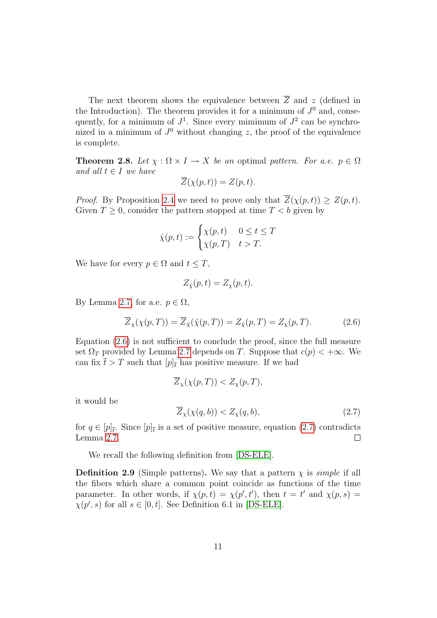The next theorem shows the equivalence between  $\overline{Z}$  and z (defined in the Introduction). The theorem provides it for a minimum of  $J^0$  and, consequently, for a minimum of  $J^1$ . Since every mimimum of  $J^2$  can be synchronized in a minimum of  $J^0$  without changing z, the proof of the equivalence is complete.

<span id="page-10-0"></span>**Theorem 2.8.** Let  $\chi : \Omega \times I \to X$  be an optimal pattern. For a.e.  $p \in \Omega$ and all  $t \in I$  we have

$$
\overline{Z}(\chi(p,t)) = Z(p,t).
$$

*Proof.* By Proposition [2.4](#page-4-0) we need to prove only that  $\overline{Z}(\chi(p,t)) \geq Z(p,t)$ . Given  $T \geq 0$ , consider the pattern stopped at time  $T < b$  given by

$$
\hat{\chi}(p,t) := \begin{cases} \chi(p,t) & 0 \le t \le T \\ \chi(p,T) & t > T. \end{cases}
$$

We have for every  $p \in \Omega$  and  $t \leq T$ ,

$$
Z_{\hat{\chi}}(p,t) = Z_{\chi}(p,t).
$$

By Lemma [2.7,](#page-9-1) for a.e.  $p \in \Omega$ ,

<span id="page-10-1"></span>
$$
\overline{Z}_{\chi}(\chi(p,T)) = \overline{Z}_{\hat{\chi}}(\hat{\chi}(p,T)) = Z_{\hat{\chi}}(p,T) = Z_{\chi}(p,T). \tag{2.6}
$$

Equation [\(2.6\)](#page-10-1) is not sufficient to conclude the proof, since the full measure set  $\Omega_T$  provided by Lemma [2.7](#page-9-1) depends on T. Suppose that  $c(p) < +\infty$ . We can fix  $\bar{t} > T$  such that  $[p]_{\bar{t}}$  has positive measure. If we had

$$
\overline{Z}_{\chi}(\chi(p,T)) < Z_{\chi}(p,T),
$$

it would be

<span id="page-10-2"></span>
$$
\overline{Z}_{\chi}(\chi(q,b)) < Z_{\chi}(q,b),\tag{2.7}
$$

for  $q \in [p]_{\bar{t}}$ . Since  $[p]_{\bar{t}}$  is a set of positive measure, equation [\(2.7\)](#page-10-2) contradicts Lemma [2.7.](#page-9-1)  $\Box$ 

We recall the following definition from [\[DS-ELE\]](#page-40-3).

<span id="page-10-3"></span>**Definition 2.9** (Simple patterns). We say that a pattern  $\chi$  is *simple* if all the fibers which share a common point coincide as functions of the time parameter. In other words, if  $\chi(p,t) = \chi(p',t')$ , then  $t = t'$  and  $\chi(p,s) =$  $\chi(p', s)$  for all  $s \in [0, t]$ . See Definition 6.1 in [\[DS-ELE\]](#page-40-3).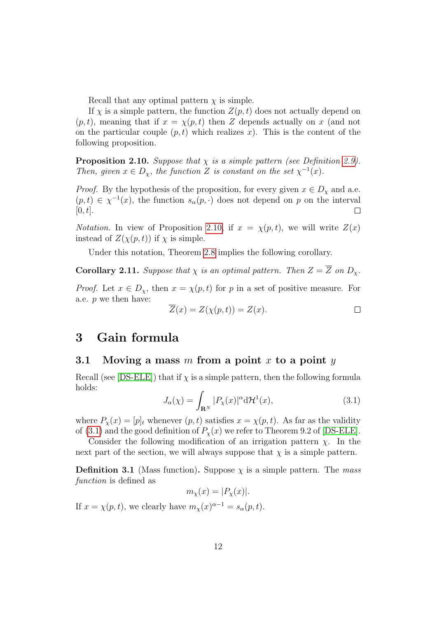Recall that any optimal pattern  $\chi$  is simple.

If  $\chi$  is a simple pattern, the function  $Z(p, t)$  does not actually depend on  $(p, t)$ , meaning that if  $x = \chi(p, t)$  then Z depends actually on x (and not on the particular couple  $(p, t)$  which realizes x). This is the content of the following proposition.

<span id="page-11-1"></span>**Proposition 2.10.** Suppose that  $\chi$  is a simple pattern (see Definition [2.9\)](#page-10-3). Then, given  $x \in D_{\chi}$ , the function Z is constant on the set  $\chi^{-1}(x)$ .

*Proof.* By the hypothesis of the proposition, for every given  $x \in D_{\chi}$  and a.e.  $(p, t) \in \chi^{-1}(x)$ , the function  $s_{\alpha}(p, \cdot)$  does not depend on p on the interval  $[0, t]$ .  $\Box$ 

*Notation.* In view of Proposition [2.10,](#page-11-1) if  $x = \chi(p, t)$ , we will write  $Z(x)$ instead of  $Z(\chi(p,t))$  if  $\chi$  is simple.

Under this notation, Theorem [2.8](#page-10-0) implies the following corollary.

**Corollary 2.11.** Suppose that  $\chi$  is an optimal pattern. Then  $Z = \overline{Z}$  on  $D_{\chi}$ .

*Proof.* Let  $x \in D_{\chi}$ , then  $x = \chi(p, t)$  for p in a set of positive measure. For a.e.  $p$  we then have:

$$
\overline{Z}(x) = Z(\chi(p, t)) = Z(x). \qquad \qquad \Box
$$

### <span id="page-11-0"></span>3 Gain formula

#### 3.1 Moving a mass m from a point x to a point y

Recall (see [\[DS-ELE\]](#page-40-3)) that if  $\chi$  is a simple pattern, then the following formula holds:

<span id="page-11-2"></span>
$$
J_{\alpha}(\chi) = \int_{\mathbf{R}^N} |P_{\chi}(x)|^{\alpha} d\mathcal{H}^1(x), \qquad (3.1)
$$

where  $P_{\chi}(x) = [p]_t$  whenever  $(p, t)$  satisfies  $x = \chi(p, t)$ . As far as the validity of [\(3.1\)](#page-11-2) and the good definition of  $P_{\chi}(x)$  we refer to Theorem 9.2 of [\[DS-ELE\]](#page-40-3).

Consider the following modification of an irrigation pattern  $\chi$ . In the next part of the section, we will always suppose that  $\chi$  is a simple pattern.

**Definition 3.1** (Mass function). Suppose  $\chi$  is a simple pattern. The mass function is defined as

$$
m_{\chi}(x) = |P_{\chi}(x)|.
$$

If  $x = \chi(p, t)$ , we clearly have  $m_{\chi}(x)^{\alpha - 1} = s_{\alpha}(p, t)$ .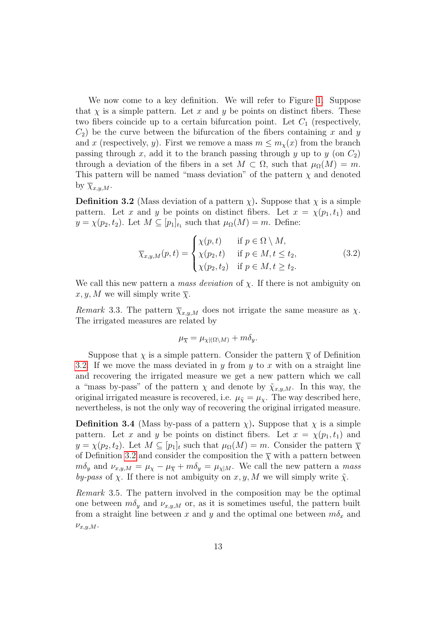We now come to a key definition. We will refer to Figure [1.](#page-13-0) Suppose that  $\chi$  is a simple pattern. Let x and y be points on distinct fibers. These two fibers coincide up to a certain bifurcation point. Let  $C_1$  (respectively,  $C_2$ ) be the curve between the bifurcation of the fibers containing x and y and x (respectively, y). First we remove a mass  $m \leq m_{\chi}(x)$  from the branch passing through x, add it to the branch passing through y up to y (on  $C_2$ ) through a deviation of the fibers in a set  $M \subset \Omega$ , such that  $\mu_{\Omega}(M) = m$ . This pattern will be named "mass deviation" of the pattern  $\chi$  and denoted by  $\overline{\chi}_{x,y,M}$ .

**Definition 3.2** (Mass deviation of a pattern  $\chi$ ). Suppose that  $\chi$  is a simple pattern. Let x and y be points on distinct fibers. Let  $x = \chi(p_1, t_1)$  and  $y = \chi(p_2, t_2)$ . Let  $M \subseteq [p_1]_{t_1}$  such that  $\mu_{\Omega}(M) = m$ . Define:

$$
\overline{\chi}_{x,y,M}(p,t) = \begin{cases}\n\chi(p,t) & \text{if } p \in \Omega \setminus M, \\
\chi(p_2,t) & \text{if } p \in M, t \le t_2, \\
\chi(p_2,t_2) & \text{if } p \in M, t \ge t_2.\n\end{cases}
$$
\n(3.2)

We call this new pattern a *mass deviation* of  $\chi$ . If there is not ambiguity on  $x, y, M$  we will simply write  $\overline{\chi}$ .

Remark 3.3. The pattern  $\overline{\chi}_{x,y,M}$  does not irrigate the same measure as  $\chi$ . The irrigated measures are related by

$$
\mu_{\overline{\chi}} = \mu_{\chi|(\Omega \setminus M)} + m\delta_y.
$$

Suppose that  $\chi$  is a simple pattern. Consider the pattern  $\overline{\chi}$  of Definition [3.2.](#page-3-1) If we move the mass deviated in y from y to x with on a straight line and recovering the irrigated measure we get a new pattern which we call a "mass by-pass" of the pattern  $\chi$  and denote by  $\tilde{\chi}_{x,y,M}$ . In this way, the original irrigated measure is recovered, i.e.  $\mu_{\tilde{\chi}} = \mu_{\chi}$ . The way described here, nevertheless, is not the only way of recovering the original irrigated measure.

**Definition 3.4** (Mass by-pass of a pattern  $\chi$ ). Suppose that  $\chi$  is a simple pattern. Let x and y be points on distinct fibers. Let  $x = \chi(p_1, t_1)$  and  $y = \chi(p_2, t_2)$ . Let  $M \subseteq [p_1]_t$  such that  $\mu_{\Omega}(M) = m$ . Consider the pattern  $\overline{\chi}$ of Definition [3.2](#page-3-1) and consider the composition the  $\overline{\chi}$  with a pattern between  $m\delta_y$  and  $\nu_{x,y,M} = \mu_\chi - \mu_{\overline{\chi}} + m\delta_y = \mu_{\chi|M}$ . We call the new pattern a mass by-pass of  $\chi$ . If there is not ambiguity on  $x, y, M$  we will simply write  $\tilde{\chi}$ .

Remark 3.5. The pattern involved in the composition may be the optimal one between  $m\delta_y$  and  $\nu_{x,u,M}$  or, as it is sometimes useful, the pattern built from a straight line between x and y and the optimal one between  $m\delta_x$  and  $\nu_{x,y,M}$ .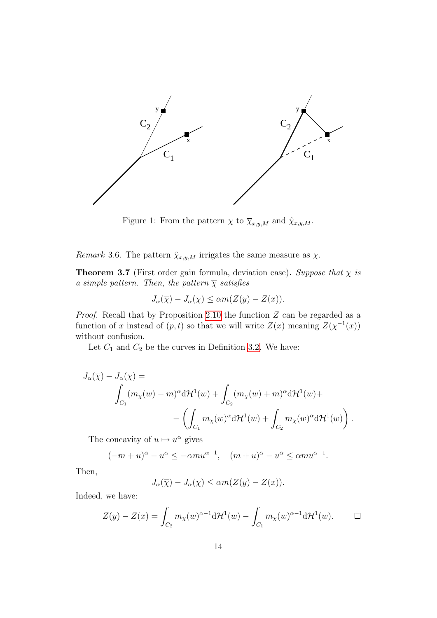

<span id="page-13-0"></span>Figure 1: From the pattern  $\chi$  to  $\overline{\chi}_{x,y,M}$  and  $\widetilde{\chi}_{x,y,M}$ .

Remark 3.6. The pattern  $\tilde{\chi}_{x,y,M}$  irrigates the same measure as  $\chi$ .

**Theorem 3.7** (First order gain formula, deviation case). Suppose that  $\chi$  is a simple pattern. Then, the pattern  $\overline{\chi}$  satisfies

$$
J_{\alpha}(\overline{\chi}) - J_{\alpha}(\chi) \leq \alpha m(Z(y) - Z(x)).
$$

*Proof.* Recall that by Proposition [2.10](#page-11-1) the function  $Z$  can be regarded as a function of x instead of  $(p, t)$  so that we will write  $Z(x)$  meaning  $Z(\chi^{-1}(x))$ without confusion.

Let  $C_1$  and  $C_2$  be the curves in Definition [3.2.](#page-3-1) We have:

$$
J_{\alpha}(\overline{\chi}) - J_{\alpha}(\chi) =
$$
  

$$
\int_{C_1} (m_{\chi}(w) - m)^{\alpha} d\mathcal{H}^1(w) + \int_{C_2} (m_{\chi}(w) + m)^{\alpha} d\mathcal{H}^1(w) +
$$
  

$$
- \left( \int_{C_1} m_{\chi}(w)^{\alpha} d\mathcal{H}^1(w) + \int_{C_2} m_{\chi}(w)^{\alpha} d\mathcal{H}^1(w) \right).
$$

The concavity of  $u \mapsto u^{\alpha}$  gives

$$
(-m+u)^{\alpha} - u^{\alpha} \le -\alpha m u^{\alpha-1}, \quad (m+u)^{\alpha} - u^{\alpha} \le \alpha m u^{\alpha-1}.
$$

Then,

$$
J_{\alpha}(\overline{\chi}) - J_{\alpha}(\chi) \leq \alpha m(Z(y) - Z(x)).
$$

Indeed, we have:

$$
Z(y) - Z(x) = \int_{C_2} m_\chi(w)^{\alpha - 1} d\mathcal{H}^1(w) - \int_{C_1} m_\chi(w)^{\alpha - 1} d\mathcal{H}^1(w).
$$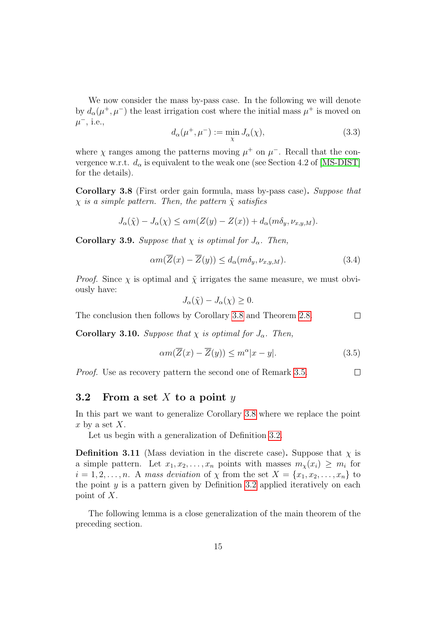We now consider the mass by-pass case. In the following we will denote by  $d_{\alpha}(\mu^+,\mu^-)$  the least irrigation cost where the initial mass  $\mu^+$  is moved on  $\mu^-$ , i.e.,

<span id="page-14-1"></span>
$$
d_{\alpha}(\mu^+,\mu^-) := \min_{\chi} J_{\alpha}(\chi), \qquad (3.3)
$$

where  $\chi$  ranges among the patterns moving  $\mu^+$  on  $\mu^-$ . Recall that the convergence w.r.t.  $d_{\alpha}$  is equivalent to the weak one (see Section 4.2 of [\[MS-DIST\]](#page-41-1) for the details).

Corollary 3.8 (First order gain formula, mass by-pass case). Suppose that  $\chi$  is a simple pattern. Then, the pattern  $\tilde{\chi}$  satisfies

$$
J_{\alpha}(\tilde{\chi}) - J_{\alpha}(\chi) \leq \alpha m(Z(y) - Z(x)) + d_{\alpha}(m\delta_y, \nu_{x,y,M}).
$$

**Corollary 3.9.** Suppose that  $\chi$  is optimal for  $J_{\alpha}$ . Then,

$$
\alpha m(\overline{Z}(x) - \overline{Z}(y)) \le d_{\alpha}(m\delta_y, \nu_{x,y,M}).\tag{3.4}
$$

*Proof.* Since  $\chi$  is optimal and  $\tilde{\chi}$  irrigates the same measure, we must obviously have:

$$
J_{\alpha}(\tilde{\chi}) - J_{\alpha}(\chi) \ge 0.
$$

The conclusion then follows by Corollary [3.8](#page-10-0) and Theorem [2.8.](#page-10-0)  $\Box$ 

**Corollary 3.10.** Suppose that  $\chi$  is optimal for  $J_{\alpha}$ . Then,

$$
\alpha m(\overline{Z}(x) - \overline{Z}(y)) \le m^{\alpha} |x - y|.
$$
\n(3.5)

Proof. Use as recovery pattern the second one of Remark [3.5.](#page-8-1)

 $\Box$ 

### 3.2 From a set X to a point  $y$

In this part we want to generalize Corollary [3.8](#page-10-0) where we replace the point x by a set  $X$ .

Let us begin with a generalization of Definition [3.2.](#page-3-1)

**Definition 3.11** (Mass deviation in the discrete case). Suppose that  $\chi$  is a simple pattern. Let  $x_1, x_2, \ldots, x_n$  points with masses  $m_\chi(x_i) \geq m_i$  for  $i = 1, 2, \ldots, n$ . A mass deviation of  $\chi$  from the set  $X = \{x_1, x_2, \ldots, x_n\}$  to the point  $y$  is a pattern given by Definition [3.2](#page-3-1) applied iteratively on each point of X.

<span id="page-14-0"></span>The following lemma is a close generalization of the main theorem of the preceding section.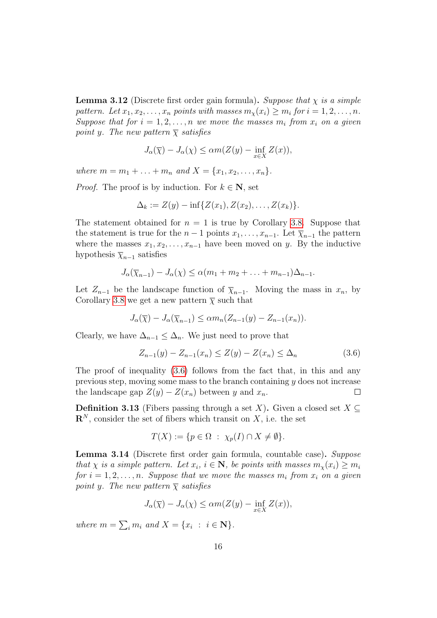**Lemma 3.12** (Discrete first order gain formula). Suppose that  $\chi$  is a simple pattern. Let  $x_1, x_2, \ldots, x_n$  points with masses  $m_\chi(x_i) \geq m_i$  for  $i = 1, 2, \ldots, n$ . Suppose that for  $i = 1, 2, ..., n$  we move the masses  $m_i$  from  $x_i$  on a given point y. The new pattern  $\overline{\chi}$  satisfies

$$
J_{\alpha}(\overline{\chi}) - J_{\alpha}(\chi) \leq \alpha m(Z(y) - \inf_{x \in X} Z(x)),
$$

where  $m = m_1 + \ldots + m_n$  and  $X = \{x_1, x_2, \ldots, x_n\}.$ 

*Proof.* The proof is by induction. For  $k \in \mathbb{N}$ , set

$$
\Delta_k := Z(y) - \inf \{ Z(x_1), Z(x_2), \dots, Z(x_k) \}.
$$

The statement obtained for  $n = 1$  is true by Corollary [3.8.](#page-10-0) Suppose that the statement is true for the  $n-1$  points  $x_1, \ldots, x_{n-1}$ . Let  $\overline{\chi}_{n-1}$  the pattern where the masses  $x_1, x_2, \ldots, x_{n-1}$  have been moved on y. By the inductive hypothesis  $\overline{\chi}_{n-1}$  satisfies

$$
J_{\alpha}(\overline{\chi}_{n-1}) - J_{\alpha}(\chi) \leq \alpha (m_1 + m_2 + \ldots + m_{n-1})\Delta_{n-1}.
$$

Let  $Z_{n-1}$  be the landscape function of  $\overline{\chi}_{n-1}$ . Moving the mass in  $x_n$ , by Corollary [3.8](#page-10-0) we get a new pattern  $\bar{\chi}$  such that

$$
J_{\alpha}(\overline{\chi}) - J_{\alpha}(\overline{\chi}_{n-1}) \leq \alpha m_n(Z_{n-1}(y) - Z_{n-1}(x_n)).
$$

Clearly, we have  $\Delta_{n-1} \leq \Delta_n$ . We just need to prove that

<span id="page-15-0"></span>
$$
Z_{n-1}(y) - Z_{n-1}(x_n) \le Z(y) - Z(x_n) \le \Delta_n \tag{3.6}
$$

The proof of inequality [\(3.6\)](#page-15-0) follows from the fact that, in this and any previous step, moving some mass to the branch containing  $y$  does not increase the landscape gap  $Z(y) - Z(x_n)$  between y and  $x_n$ .  $\Box$ 

<span id="page-15-2"></span>**Definition 3.13** (Fibers passing through a set X). Given a closed set  $X \subseteq$  $\mathbf{R}^{N}$ , consider the set of fibers which transit on X, i.e. the set

$$
T(X) := \{ p \in \Omega \; : \; \chi_p(I) \cap X \neq \emptyset \}.
$$

<span id="page-15-1"></span>Lemma 3.14 (Discrete first order gain formula, countable case). Suppose that  $\chi$  is a simple pattern. Let  $x_i$ ,  $i \in \mathbb{N}$ , be points with masses  $m_\chi(x_i) \geq m_i$ for  $i = 1, 2, ..., n$ . Suppose that we move the masses  $m_i$  from  $x_i$  on a given point y. The new pattern  $\bar{x}$  satisfies

$$
J_{\alpha}(\overline{\chi}) - J_{\alpha}(\chi) \leq \alpha m(Z(y) - \inf_{x \in X} Z(x)),
$$

where  $m = \sum_i m_i$  and  $X = \{x_i : i \in \mathbb{N}\}.$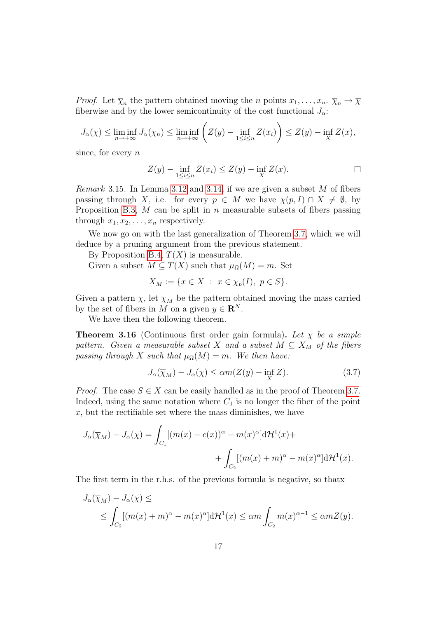*Proof.* Let  $\overline{\chi}_n$  the pattern obtained moving the *n* points  $x_1, \ldots, x_n$ .  $\overline{\chi}_n \to \overline{\chi}$ fiberwise and by the lower semicontinuity of the cost functional  $J_{\alpha}$ :

$$
J_{\alpha}(\overline{\chi}) \le \liminf_{n \to +\infty} J_{\alpha}(\overline{\chi_n}) \le \liminf_{n \to +\infty} \left( Z(y) - \inf_{1 \le i \le n} Z(x_i) \right) \le Z(y) - \inf_{X} Z(x),
$$

since, for every  $n$ 

$$
Z(y) - \inf_{1 \le i \le n} Z(x_i) \le Z(y) - \inf_X Z(x).
$$

*Remark* 3.15. In Lemma [3.12](#page-14-0) and [3.14,](#page-15-1) if we are given a subset  $M$  of fibers passing through X, i.e. for every  $p \in M$  we have  $\chi(p, I) \cap X \neq \emptyset$ , by Proposition [B.3,](#page-3-2)  $M$  can be split in  $n$  measurable subsets of fibers passing through  $x_1, x_2, \ldots, x_n$  respectively.

We now go on with the last generalization of Theorem [3.7,](#page-9-1) which we will deduce by a pruning argument from the previous statement.

By Proposition [B.4,](#page-4-0)  $T(X)$  is measurable.

Given a subset  $M \subseteq T(X)$  such that  $\mu_{\Omega}(M) = m$ . Set

$$
X_M := \{ x \in X \ : \ x \in \chi_p(I), \ p \in S \}.
$$

Given a pattern  $\chi$ , let  $\overline{\chi}_M$  be the pattern obtained moving the mass carried by the set of fibers in M on a given  $y \in \mathbb{R}^N$ .

We have then the following theorem.

<span id="page-16-0"></span>**Theorem 3.16** (Continuous first order gain formula). Let  $\chi$  be a simple pattern. Given a measurable subset X and a subset  $M \subseteq X_M$  of the fibers passing through X such that  $\mu_{\Omega}(M) = m$ . We then have:

$$
J_{\alpha}(\overline{\chi}_M) - J_{\alpha}(\chi) \le \alpha m(Z(y) - \inf_{X} Z). \tag{3.7}
$$

*Proof.* The case  $S \in X$  can be easily handled as in the proof of Theorem [3.7.](#page-9-1) Indeed, using the same notation where  $C_1$  is no longer the fiber of the point  $x$ , but the rectifiable set where the mass diminishes, we have

$$
J_{\alpha}(\overline{\chi}_M) - J_{\alpha}(\chi) = \int_{C_1} [(m(x) - c(x))^{\alpha} - m(x)^{\alpha}] d\mathcal{H}^1(x) +
$$
  
+ 
$$
\int_{C_2} [(m(x) + m)^{\alpha} - m(x)^{\alpha}] d\mathcal{H}^1(x).
$$

The first term in the r.h.s. of the previous formula is negative, so thatx

$$
J_{\alpha}(\overline{\chi}_M) - J_{\alpha}(\chi) \le
$$
  
\$\le \int\_{C\_2} [(m(x) + m)^{\alpha} - m(x)^{\alpha}] \mathrm{d} \mathcal{H}^1(x) \le \alpha m \int\_{C\_2} m(x)^{\alpha - 1} \le \alpha m Z(y)\$.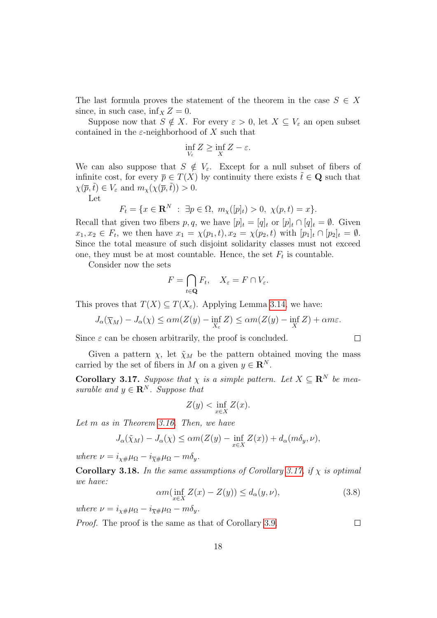The last formula proves the statement of the theorem in the case  $S \in X$ since, in such case, inf<sub>x</sub>  $Z = 0$ .

Suppose now that  $S \notin X$ . For every  $\varepsilon > 0$ , let  $X \subseteq V_{\varepsilon}$  an open subset contained in the  $\varepsilon$ -neighborhood of X such that

$$
\inf_{V_{\varepsilon}} Z \ge \inf_{X} Z - \varepsilon.
$$

We can also suppose that  $S \notin V_{\varepsilon}$ . Except for a null subset of fibers of infinite cost, for every  $\bar{p} \in T(X)$  by continuity there exists  $\tilde{t} \in \mathbf{Q}$  such that  $\chi(\overline{p},\tilde{t}) \in V_{\varepsilon}$  and  $m_{\chi}(\chi(\overline{p},\tilde{t})) > 0$ .

Let

$$
F_t = \{ x \in \mathbf{R}^N : \exists p \in \Omega, \ m_\chi([p]_t) > 0, \ \chi(p, t) = x \}.
$$

Recall that given two fibers p, q, we have  $[p]_t = [q]_t$  or  $[p]_t \cap [q]_t = \emptyset$ . Given  $x_1, x_2 \in F_t$ , we then have  $x_1 = \chi(p_1, t), x_2 = \chi(p_2, t)$  with  $[p_1]_t \cap [p_2]_t = \emptyset$ . Since the total measure of such disjoint solidarity classes must not exceed one, they must be at most countable. Hence, the set  $F_t$  is countable.

Consider now the sets

$$
F = \bigcap_{t \in \mathbf{Q}} F_t, \quad X_{\varepsilon} = F \cap V_{\varepsilon}.
$$

This proves that  $T(X) \subseteq T(X_{\varepsilon})$ . Applying Lemma [3.14,](#page-15-1) we have:

$$
J_{\alpha}(\overline{\chi}_M) - J_{\alpha}(\chi) \le \alpha m(Z(y) - \inf_{X_{\varepsilon}} Z) \le \alpha m(Z(y) - \inf_{X} Z) + \alpha m \varepsilon.
$$

Since  $\varepsilon$  can be chosen arbitrarily, the proof is concluded.

Given a pattern  $\chi$ , let  $\tilde{\chi}_M$  be the pattern obtained moving the mass carried by the set of fibers in M on a given  $y \in \mathbb{R}^N$ .

<span id="page-17-0"></span>**Corollary 3.17.** Suppose that  $\chi$  is a simple pattern. Let  $X \subseteq \mathbb{R}^N$  be measurable and  $y \in \mathbf{R}^{N}$ . Suppose that

$$
Z(y) < \inf_{x \in X} Z(x).
$$

Let m as in Theorem [3.16.](#page-16-0) Then, we have

$$
J_{\alpha}(\tilde{\chi}_M) - J_{\alpha}(\chi) \leq \alpha m(Z(y) - \inf_{x \in X} Z(x)) + d_{\alpha}(m\delta_y, \nu),
$$

where  $\nu = i_{\chi\#}\mu_{\Omega} - i_{\overline{\chi}\#}\mu_{\Omega} - m\delta_y$ .

<span id="page-17-1"></span>Corollary 3.18. In the same assumptions of Corollary [3.17,](#page-17-0) if  $\chi$  is optimal we have:

<span id="page-17-2"></span>
$$
\alpha m(\inf_{x \in X} Z(x) - Z(y)) \le d_{\alpha}(y, \nu),\tag{3.8}
$$

where  $\nu = i_{\chi\#}\mu_{\Omega} - i_{\overline{\chi}\#}\mu_{\Omega} - m\delta_y$ .

Proof. The proof is the same as that of Corollary [3.9.](#page-10-3)

 $\Box$ 

 $\Box$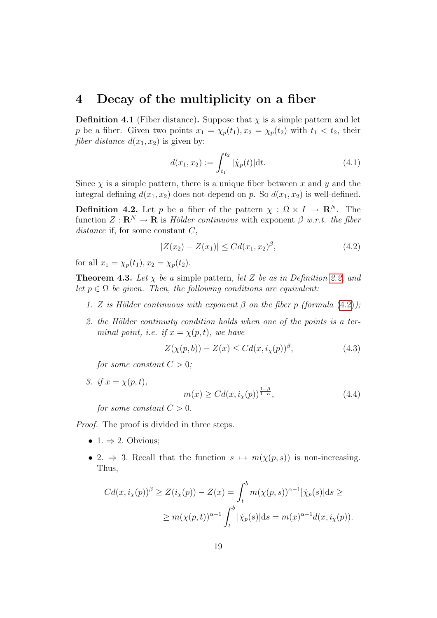### <span id="page-18-0"></span>4 Decay of the multiplicity on a fiber

**Definition 4.1** (Fiber distance). Suppose that  $\chi$  is a simple pattern and let p be a fiber. Given two points  $x_1 = \chi_p(t_1), x_2 = \chi_p(t_2)$  with  $t_1 < t_2$ , their *fiber distance*  $d(x_1, x_2)$  is given by:

<span id="page-18-4"></span>
$$
d(x_1, x_2) := \int_{t_1}^{t_2} |\dot{\chi}_p(t)| \, \mathrm{d}t. \tag{4.1}
$$

Since  $\chi$  is a simple pattern, there is a unique fiber between x and y and the integral defining  $d(x_1, x_2)$  does not depend on p. So  $d(x_1, x_2)$  is well-defined.

**Definition 4.2.** Let p be a fiber of the pattern  $\chi : \Omega \times I \to \mathbb{R}^N$ . The function  $Z: \mathbf{R}^N \to \mathbf{R}$  is Hölder continuous with exponent  $\beta$  w.r.t. the fiber distance if, for some constant  $C$ ,

<span id="page-18-1"></span>
$$
|Z(x_2) - Z(x_1)| \leq C d(x_1, x_2)^{\beta}, \tag{4.2}
$$

for all  $x_1 = \chi_p(t_1), x_2 = \chi_p(t_2)$ .

**Theorem 4.3.** Let  $\chi$  be a simple pattern, let Z be as in Definition [2.2,](#page-3-1) and let  $p \in \Omega$  be given. Then, the following conditions are equivalent:

- 1. Z is Hölder continuous with exponent  $\beta$  on the fiber p (formula [\(4.2\)](#page-18-1));
- 2. the Hölder continuity condition holds when one of the points is a terminal point, i.e. if  $x = \chi(p, t)$ , we have

<span id="page-18-3"></span>
$$
Z(\chi(p,b)) - Z(x) \le C d(x, i_{\chi}(p))^{\beta}, \tag{4.3}
$$

for some constant  $C > 0$ ;

3. if  $x = \chi(p, t)$ ,

<span id="page-18-2"></span>
$$
m(x) \geq C d(x, i_X(p))^{\frac{1-\beta}{1-\alpha}},\tag{4.4}
$$

for some constant  $C > 0$ .

Proof. The proof is divided in three steps.

- 1.  $\Rightarrow$  2. Obvious;
- 2.  $\Rightarrow$  3. Recall that the function  $s \mapsto m(\chi(p, s))$  is non-increasing. Thus,

$$
Cd(x, iX(p))\beta \ge Z(iX(p)) - Z(x) = \int_t^b m(\chi(p, s))^{\alpha - 1} |\dot{\chi}_p(s)| ds \ge
$$
  
 
$$
\ge m(\chi(p, t))^{\alpha - 1} \int_t^b |\dot{\chi}_p(s)| ds = m(x)^{\alpha - 1} d(x, i_X(p)).
$$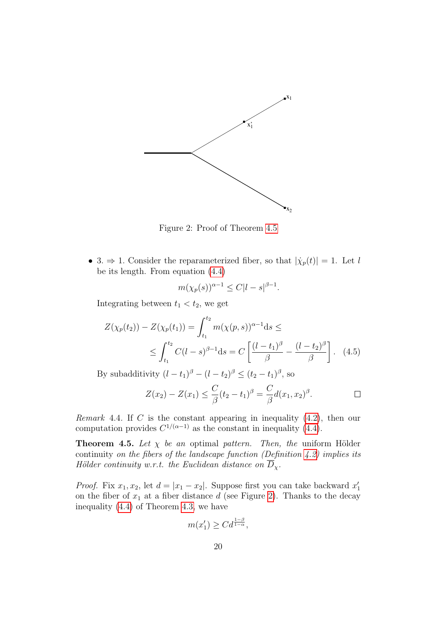

<span id="page-19-0"></span>Figure 2: Proof of Theorem [4.5](#page-8-1)

• 3.  $\Rightarrow$  1. Consider the reparameterized fiber, so that  $|\dot{\chi}_p(t)| = 1$ . Let l be its length. From equation [\(4.4\)](#page-18-2)

$$
m(\chi_p(s))^{\alpha-1} \le C|l-s|^{\beta-1}.
$$

Integrating between  $t_1 < t_2$ , we get

$$
Z(\chi_p(t_2)) - Z(\chi_p(t_1)) = \int_{t_1}^{t_2} m(\chi(p, s))^{\alpha - 1} ds \le
$$
  
 
$$
\le \int_{t_1}^{t_2} C(l - s)^{\beta - 1} ds = C \left[ \frac{(l - t_1)^{\beta}}{\beta} - \frac{(l - t_2)^{\beta}}{\beta} \right]. \quad (4.5)
$$

By subadditivity  $(l - t_1)^\beta - (l - t_2)^\beta \le (t_2 - t_1)^\beta$ , so

$$
Z(x_2) - Z(x_1) \leq \frac{C}{\beta}(t_2 - t_1)^{\beta} = \frac{C}{\beta}d(x_1, x_2)^{\beta}.
$$

*Remark* 4.4. If C is the constant appearing in inequality  $(4.2)$ , then our computation provides  $C^{1/(\alpha-1)}$  as the constant in inequality [\(4.4\)](#page-18-2).

**Theorem 4.5.** Let  $\chi$  be an optimal pattern. Then, the uniform Hölder continuity on the fibers of the landscape function (Definition  $(4.2)$ ) implies its Hölder continuity w.r.t. the Euclidean distance on  $\overline{D}_\chi$ .

*Proof.* Fix  $x_1, x_2$ , let  $d = |x_1 - x_2|$ . Suppose first you can take backward  $x_1$ on the fiber of  $x_1$  at a fiber distance d (see Figure [2\)](#page-19-0). Thanks to the decay inequality [\(4.4\)](#page-18-2) of Theorem [4.3,](#page-3-2) we have

$$
m(x_1') \geq C d^{\frac{1-\beta}{1-\alpha}},
$$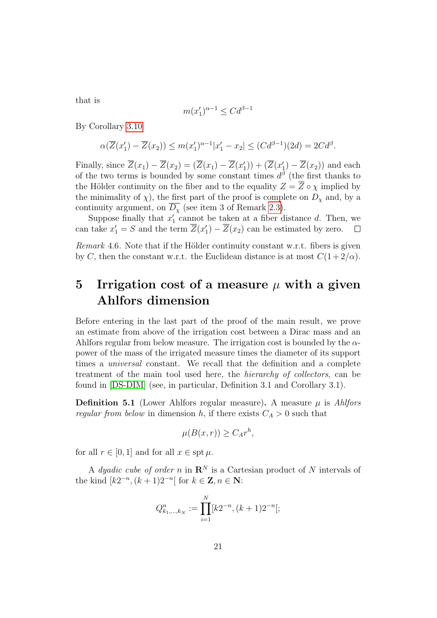that is

$$
m(x_1')^{\alpha-1}\leq Cd^{\beta-1}
$$

By Corollary [3.10](#page-11-1)

$$
\alpha(\overline{Z}(x_1')-\overline{Z}(x_2)) \le m(x_1')^{\alpha-1}|x_1'-x_2| \le (Cd^{\beta-1})(2d) = 2Cd^{\beta}.
$$

Finally, since  $\overline{Z}(x_1) - \overline{Z}(x_2) = (\overline{Z}(x_1) - \overline{Z}(x'_1)) + (\overline{Z}(x'_1) - \overline{Z}(x_2))$  and each of the two terms is bounded by some constant times  $d^{\beta}$  (the first thanks to the Hölder continuity on the fiber and to the equality  $Z = \overline{Z} \circ \chi$  implied by the minimality of  $\chi$ ), the first part of the proof is complete on  $D_{\chi}$  and, by a continuity argument, on  $\overline{D_{\chi}}$  (see item 3 of Remark [2.3\)](#page-3-2).

Suppose finally that  $x'_1$  cannot be taken at a fiber distance d. Then, we can take  $x_1' = S$  and the term  $\overline{Z}(x_1') - \overline{Z}(x_2)$  can be estimated by zero.  $\Box$ 

Remark 4.6. Note that if the Hölder continuity constant w.r.t. fibers is given by C, then the constant w.r.t. the Euclidean distance is at most  $C(1+2/\alpha)$ .

## <span id="page-20-0"></span>5 Irrigation cost of a measure  $\mu$  with a given Ahlfors dimension

Before entering in the last part of the proof of the main result, we prove an estimate from above of the irrigation cost between a Dirac mass and an Ahlfors regular from below measure. The irrigation cost is bounded by the  $\alpha$ power of the mass of the irrigated measure times the diameter of its support times a universal constant. We recall that the definition and a complete treatment of the main tool used here, the hierarchy of collectors, can be found in [\[DS-DIM\]](#page-40-4) (see, in particular, Definition 3.1 and Corollary 3.1).

**Definition 5.1** (Lower Ahlfors regular measure). A measure  $\mu$  is Ahlfors regular from below in dimension h, if there exists  $C_A > 0$  such that

$$
\mu(B(x,r)) \ge C_A r^h,
$$

for all  $r \in [0, 1]$  and for all  $x \in \text{spt } \mu$ .

A *dyadic cube of order* n in  $\mathbb{R}^N$  is a Cartesian product of N intervals of the kind  $[k2^{-n}, (k+1)2^{-n}]$  for  $k \in \mathbb{Z}, n \in \mathbb{N}$ :

$$
Q_{k_1,\dots,k_N}^n := \prod_{i=1}^N [k2^{-n}, (k+1)2^{-n}];
$$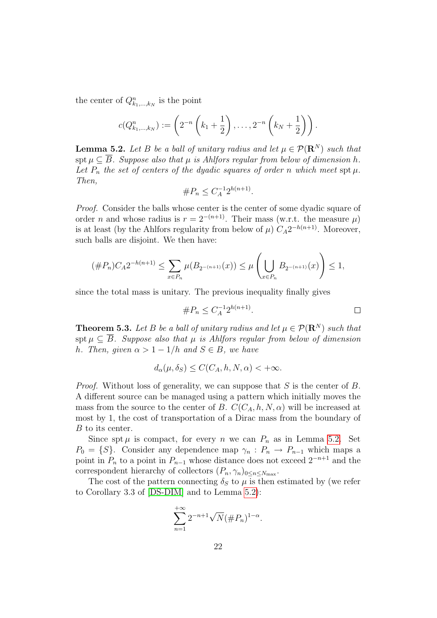the center of  $Q_{k_1,\dots,k_N}^n$  is the point

$$
c(Q_{k_1,\dots,k_N}^n) := \left(2^{-n}\left(k_1+\frac{1}{2}\right),\dots,2^{-n}\left(k_N+\frac{1}{2}\right)\right).
$$

**Lemma 5.2.** Let B be a ball of unitary radius and let  $\mu \in \mathcal{P}(\mathbb{R}^N)$  such that spt  $\mu \subset \overline{B}$ . Suppose also that  $\mu$  is Ahlfors regular from below of dimension h. Let  $P_n$  the set of centers of the dyadic squares of order n which meet spt  $\mu$ . Then,

$$
\#P_n \le C_A^{-1} 2^{h(n+1)}.
$$

Proof. Consider the balls whose center is the center of some dyadic square of order *n* and whose radius is  $r = 2^{-(n+1)}$ . Their mass (w.r.t. the measure  $\mu$ ) is at least (by the Ahlfors regularity from below of  $\mu$ )  $C_A 2^{-h(n+1)}$ . Moreover, such balls are disjoint. We then have:

$$
(\#P_n)C_A 2^{-h(n+1)} \le \sum_{x \in P_n} \mu(B_{2^{-(n+1)}}(x)) \le \mu\left(\bigcup_{x \in P_n} B_{2^{-(n+1)}}(x)\right) \le 1,
$$

since the total mass is unitary. The previous inequality finally gives

$$
\#P_n \le C_A^{-1} 2^{h(n+1)}.
$$

**Theorem 5.3.** Let B be a ball of unitary radius and let  $\mu \in \mathcal{P}(\mathbb{R}^N)$  such that spt  $\mu \subset \overline{B}$ . Suppose also that  $\mu$  is Ahlfors regular from below of dimension h. Then, given  $\alpha > 1 - 1/h$  and  $S \in B$ , we have

$$
d_{\alpha}(\mu, \delta_S) \le C(C_A, h, N, \alpha) < +\infty.
$$

*Proof.* Without loss of generality, we can suppose that  $S$  is the center of  $B$ . A different source can be managed using a pattern which initially moves the mass from the source to the center of B.  $C(C_A, h, N, \alpha)$  will be increased at most by 1, the cost of transportation of a Dirac mass from the boundary of B to its center.

Since spt  $\mu$  is compact, for every n we can  $P_n$  as in Lemma [5.2.](#page-3-1) Set  $P_0 = \{S\}$ . Consider any dependence map  $\gamma_n : P_n \to P_{n-1}$  which maps a point in  $P_n$  to a point in  $P_{n-1}$  whose distance does not exceed  $2^{-n+1}$  and the correspondent hierarchy of collectors  $(P_n, \gamma_n)_{0 \leq n \leq N_{\text{max}}}$ .

The cost of the pattern connecting  $\delta_S$  to  $\mu$  is then estimated by (we refer to Corollary 3.3 of [\[DS-DIM\]](#page-40-4) and to Lemma [5.2\)](#page-3-1):

$$
\sum_{n=1}^{+\infty} 2^{-n+1} \sqrt{N} (\#P_n)^{1-\alpha}.
$$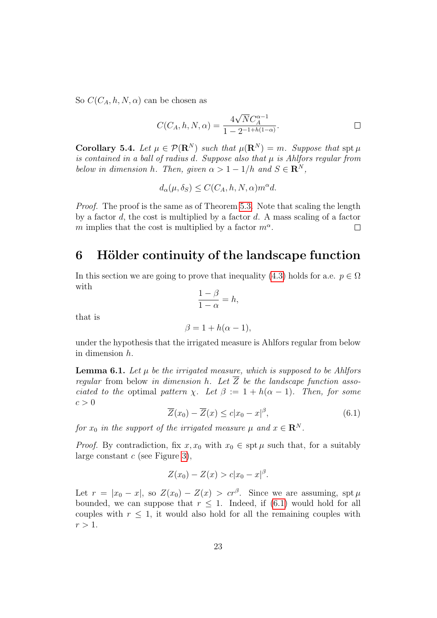So  $C(C_A, h, N, \alpha)$  can be chosen as

$$
C(C_A, h, N, \alpha) = \frac{4\sqrt{N}C_A^{\alpha - 1}}{1 - 2^{-1 + h(1 - \alpha)}}.
$$

**Corollary 5.4.** Let  $\mu \in \mathcal{P}(\mathbf{R}^N)$  such that  $\mu(\mathbf{R}^N) = m$ . Suppose that  $\text{spt }\mu$ is contained in a ball of radius d. Suppose also that  $\mu$  is Ahlfors regular from below in dimension h. Then, given  $\alpha > 1 - 1/h$  and  $S \in \mathbb{R}^N$ ,

$$
d_{\alpha}(\mu, \delta_S) \le C(C_A, h, N, \alpha) m^{\alpha} d.
$$

Proof. The proof is the same as of Theorem [5.3.](#page-3-2) Note that scaling the length by a factor d, the cost is multiplied by a factor  $d$ . A mass scaling of a factor m implies that the cost is multiplied by a factor  $m^{\alpha}$ .  $\Box$ 

## <span id="page-22-0"></span>6 Hölder continuity of the landscape function

In this section we are going to prove that inequality [\(4.3\)](#page-18-3) holds for a.e.  $p \in \Omega$ with

$$
\frac{1-\beta}{1-\alpha} = h,
$$

that is

$$
\beta = 1 + h(\alpha - 1),
$$

under the hypothesis that the irrigated measure is Ahlfors regular from below in dimension h.

**Lemma 6.1.** Let  $\mu$  be the irrigated measure, which is supposed to be Ahlfors regular from below in dimension h. Let  $\overline{Z}$  be the landscape function associated to the optimal pattern  $\chi$ . Let  $\beta := 1 + h(\alpha - 1)$ . Then, for some  $c > 0$ 

<span id="page-22-1"></span>
$$
\overline{Z}(x_0) - \overline{Z}(x) \le c|x_0 - x|^{\beta},\tag{6.1}
$$

for  $x_0$  in the support of the irrigated measure  $\mu$  and  $x \in \mathbb{R}^N$ .

*Proof.* By contradiction, fix  $x, x_0$  with  $x_0 \in \text{spt } \mu$  such that, for a suitably large constant  $c$  (see Figure [3\)](#page-23-0),

$$
Z(x_0) - Z(x) > c|x_0 - x|^{\beta}.
$$

Let  $r = |x_0 - x|$ , so  $Z(x_0) - Z(x) > cr^{\beta}$ . Since we are assuming, spt  $\mu$ bounded, we can suppose that  $r \leq 1$ . Indeed, if [\(6.1\)](#page-22-1) would hold for all couples with  $r < 1$ , it would also hold for all the remaining couples with  $r > 1$ .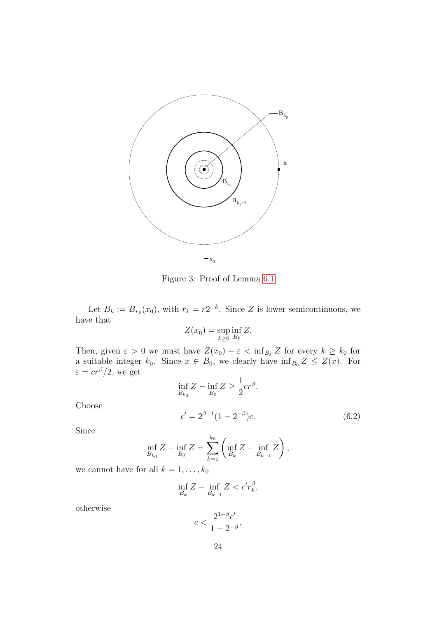

<span id="page-23-0"></span>Figure 3: Proof of Lemma [6.1](#page-3-0)

Let  $B_k := \overline{B}_{r_k}(x_0)$ , with  $r_k = r2^{-k}$ . Since Z is lower semicontinuous, we have that

$$
Z(x_0) = \sup_{k \ge 0} \inf_{B_k} Z.
$$

Then, given  $\varepsilon > 0$  we must have  $Z(x_0) - \varepsilon < \inf_{B_k} Z$  for every  $k \ge k_0$  for a suitable integer  $k_0$ . Since  $x \in B_0$ , we clearly have  $\inf_{B_0} Z \leq Z(x)$ . For  $\varepsilon = cr^{\beta}/2$ , we get 1

<span id="page-23-1"></span>
$$
\inf_{B_{k_0}} Z - \inf_{B_0} Z \ge \frac{1}{2} c r^{\beta}.
$$
  

$$
c' = 2^{\beta - 1} (1 - 2^{-\beta}) c.
$$
 (6.2)

Choose

Since

$$
\inf_{B_{k_0}} Z - \inf_{B_0} Z = \sum_{k=1}^{k_0} \left( \inf_{B_k} Z - \inf_{B_{k-1}} Z \right),
$$

we cannot have for all  $k = 1, \ldots, k_0$ 

$$
\inf_{B_k} Z - \inf_{B_{k-1}} Z < c'r_k^{\beta},
$$

otherwise

$$
c<\frac{2^{1-\beta}c'}{1-2^{-\beta}},
$$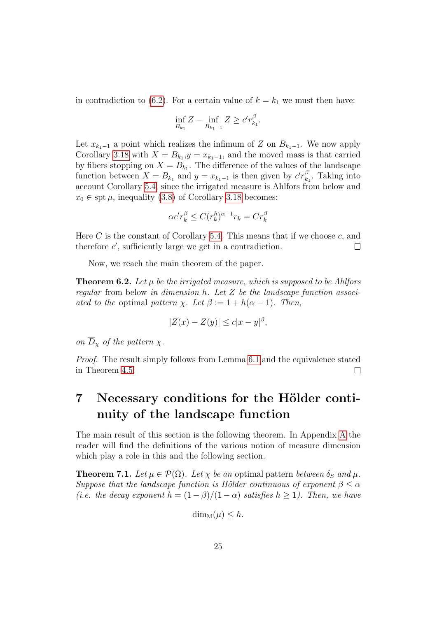in contradiction to [\(6.2\)](#page-23-1). For a certain value of  $k = k_1$  we must then have:

$$
\inf_{B_{k_1}} Z - \inf_{B_{k_1-1}} Z \ge c' r_{k_1}^{\beta}.
$$

Let  $x_{k_1-1}$  a point which realizes the infimum of Z on  $B_{k_1-1}$ . We now apply Corollary [3.18](#page-17-1) with  $X = B_{k_1}, y = x_{k_1-1}$ , and the moved mass is that carried by fibers stopping on  $X = B_{k_1}$ . The difference of the values of the landscape function between  $X = B_{k_1}$  and  $y = x_{k_1-1}$  is then given by  $c'r_k^{\beta}$  $\frac{\beta}{k_1}$ . Taking into account Corollary [5.4,](#page-4-0) since the irrigated measure is Ahlfors from below and  $x_0 \in \text{spt } \mu$ , inequality [\(3.8\)](#page-17-2) of Corollary [3.18](#page-17-1) becomes:

$$
\alpha c' r_k^{\beta} \le C (r_k^h)^{\alpha - 1} r_k = C r_k^{\beta}
$$

Here  $C$  is the constant of Corollary [5.4.](#page-4-0) This means that if we choose  $c$ , and therefore  $c'$ , sufficiently large we get in a contradiction.  $\Box$ 

Now, we reach the main theorem of the paper.

**Theorem 6.2.** Let  $\mu$  be the irrigated measure, which is supposed to be Ahlfors regular from below in dimension h. Let  $Z$  be the landscape function associated to the optimal pattern  $\chi$ . Let  $\beta := 1 + h(\alpha - 1)$ . Then,

$$
|Z(x) - Z(y)| \le c|x - y|^{\beta},
$$

on  $\overline{D}_x$  of the pattern  $\chi$ .

Proof. The result simply follows from Lemma [6.1](#page-3-0) and the equivalence stated in Theorem [4.5.](#page-8-1)  $\Box$ 

## 7 Necessary conditions for the Hölder continuity of the landscape function

The main result of this section is the following theorem. In Appendix [A](#page-35-0) the reader will find the definitions of the various notion of measure dimension which play a role in this and the following section.

**Theorem 7.1.** Let  $\mu \in \mathcal{P}(\Omega)$ . Let  $\chi$  be an optimal pattern between  $\delta_S$  and  $\mu$ . Suppose that the landscape function is Hölder continuous of exponent  $\beta \leq \alpha$ (i.e. the decay exponent  $h = (1 - \beta)/(1 - \alpha)$  satisfies  $h > 1$ ). Then, we have

$$
\dim_{\mathcal{M}}(\mu) \leq h.
$$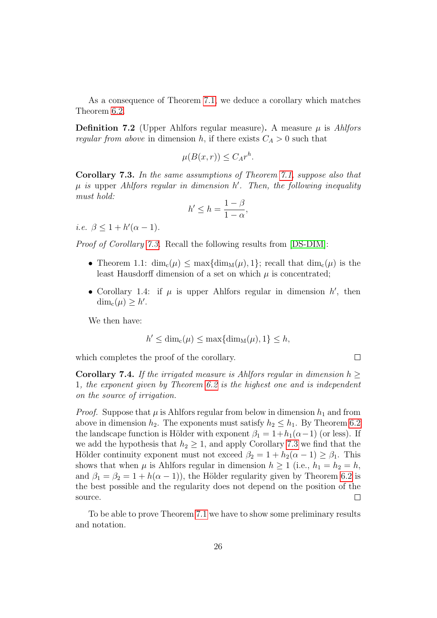As a consequence of Theorem [7.1,](#page-3-0) we deduce a corollary which matches Theorem [6.2.](#page-3-1)

**Definition 7.2** (Upper Ahlfors regular measure). A measure  $\mu$  is Ahlfors regular from above in dimension h, if there exists  $C_A > 0$  such that

$$
\mu(B(x,r)) \le C_A r^h.
$$

Corollary 7.3. In the same assumptions of Theorem [7.1,](#page-3-0) suppose also that  $\mu$  is upper Ahlfors regular in dimension h'. Then, the following inequality must hold:

$$
h' \le h = \frac{1 - \beta}{1 - \alpha},
$$

i.e.  $\beta \leq 1 + h'(\alpha - 1)$ .

Proof of Corollary [7.3.](#page-3-2) Recall the following results from [\[DS-DIM\]](#page-40-4):

- Theorem 1.1:  $\dim_c(\mu) \leq \max\{\dim_M(\mu), 1\}$ ; recall that  $\dim_c(\mu)$  is the least Hausdorff dimension of a set on which  $\mu$  is concentrated;
- Corollary 1.4: if  $\mu$  is upper Ahlfors regular in dimension  $h'$ , then  $\dim_{c}(\mu) \geq h'.$

We then have:

$$
h' \le \dim_{\mathbf{c}}(\mu) \le \max\{\dim_{\mathbf{M}}(\mu), 1\} \le h,
$$

 $\Box$ 

which completes the proof of the corollary.

**Corollary 7.4.** If the irrigated measure is Ahlfors regular in dimension  $h >$ 1, the exponent given by Theorem [6.2](#page-3-1) is the highest one and is independent on the source of irrigation.

*Proof.* Suppose that  $\mu$  is Ahlfors regular from below in dimension  $h_1$  and from above in dimension  $h_2$ . The exponents must satisfy  $h_2 \leq h_1$ . By Theorem [6.2](#page-3-1) the landscape function is Hölder with exponent  $\beta_1 = 1 + h_1(\alpha - 1)$  (or less). If we add the hypothesis that  $h_2 \geq 1$ , and apply Corollary [7.3](#page-3-2) we find that the Hölder continuity exponent must not exceed  $\beta_2 = 1 + h_2(\alpha - 1) \ge \beta_1$ . This shows that when  $\mu$  is Ahlfors regular in dimension  $h \geq 1$  (i.e.,  $h_1 = h_2 = h$ , and  $\beta_1 = \beta_2 = 1 + h(\alpha - 1)$ , the Hölder regularity given by Theorem [6.2](#page-3-1) is the best possible and the regularity does not depend on the position of the source.  $\Box$ 

To be able to prove Theorem [7.1](#page-3-0) we have to show some preliminary results and notation.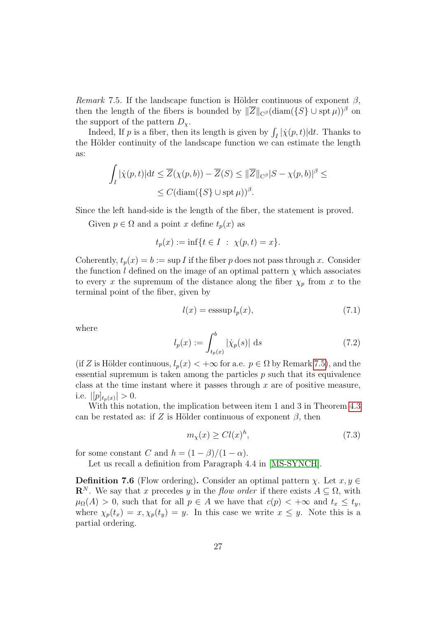Remark 7.5. If the landscape function is Hölder continuous of exponent  $\beta$ , then the length of the fibers is bounded by  $\|\overline{Z}\|_{C^\beta}(\text{diam}(\{S\}\cup \text{spt }\mu))^{\beta}$  on the support of the pattern  $D_{\chi}$ .

Indeed, If p is a fiber, then its length is given by  $\int_I |\dot{\chi}(p, t)| dt$ . Thanks to the Hölder continuity of the landscape function we can estimate the length as:

$$
\int_{I} |\dot{\chi}(p,t)| \mathrm{d}t \leq \overline{Z}(\chi(p,b)) - \overline{Z}(S) \leq ||\overline{Z}||_{\mathcal{C}^{\beta}} |S - \chi(p,b)|^{\beta} \leq
$$
  

$$
\leq C (\text{diam}(\{S\} \cup \operatorname{spt} \mu))^{\beta}.
$$

Since the left hand-side is the length of the fiber, the statement is proved.

Given  $p \in \Omega$  and a point x define  $t_p(x)$  as

$$
t_p(x) := \inf\{t \in I \ : \ \chi(p, t) = x\}.
$$

Coherently,  $t_p(x) = b := \sup I$  if the fiber p does not pass through x. Consider the function l defined on the image of an optimal pattern  $\chi$  which associates to every x the supremum of the distance along the fiber  $\chi_p$  from x to the terminal point of the fiber, given by

<span id="page-26-0"></span>
$$
l(x) = \operatorname{esssup} l_p(x),\tag{7.1}
$$

where

<span id="page-26-2"></span>
$$
l_p(x) := \int_{t_p(x)}^b |\dot{\chi}_p(s)| \, \mathrm{d}s \tag{7.2}
$$

(if Z is Hölder continuous,  $l_p(x) < +\infty$  for a.e.  $p \in \Omega$  by Remark [7.5\)](#page-8-1), and the essential supremum is taken among the particles  $p$  such that its equivalence class at the time instant where it passes through  $x$  are of positive measure, i.e.  $|[p]_{t_p(x)}| > 0$ .

With this notation, the implication between item 1 and 3 in Theorem [4.3](#page-3-2) can be restated as: if Z is Hölder continuous of exponent  $\beta$ , then

<span id="page-26-1"></span>
$$
m_{\chi}(x) \geq Cl(x)^h,\tag{7.3}
$$

for some constant C and  $h = (1 - \beta)/(1 - \alpha)$ .

Let us recall a definition from Paragraph 4.4 in [\[MS-SYNCH\]](#page-41-6).

**Definition 7.6** (Flow ordering). Consider an optimal pattern  $\chi$ . Let  $x, y \in$  $\mathbf{R}^{N}$ . We say that x precedes y in the flow order if there exists  $A \subseteq \Omega$ , with  $\mu_{\Omega}(A) > 0$ , such that for all  $p \in A$  we have that  $c(p) < +\infty$  and  $t_x \leq t_y$ , where  $\chi_p(t_x) = x, \chi_p(t_y) = y$ . In this case we write  $x \leq y$ . Note this is a partial ordering.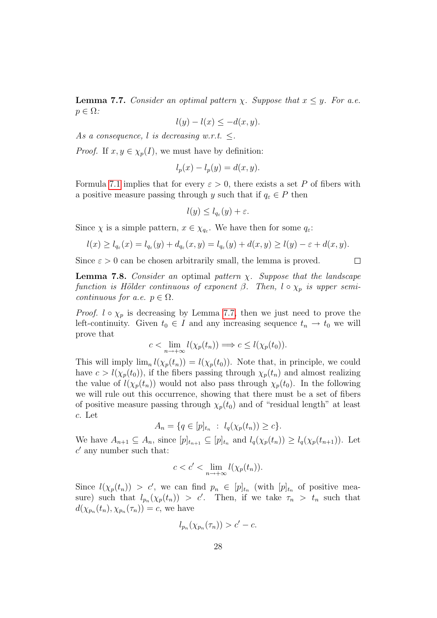**Lemma 7.7.** Consider an optimal pattern  $\chi$ . Suppose that  $x \leq y$ . For a.e.  $p \in \Omega$ :

$$
l(y) - l(x) \le -d(x, y).
$$

As a consequence, l is decreasing w.r.t.  $\leq$ .

*Proof.* If  $x, y \in \chi_p(I)$ , we must have by definition:

$$
l_p(x) - l_p(y) = d(x, y).
$$

Formula [7.1](#page-26-0) implies that for every  $\varepsilon > 0$ , there exists a set P of fibers with a positive measure passing through y such that if  $q_{\varepsilon} \in P$  then

$$
l(y) \leq l_{q_{\varepsilon}}(y) + \varepsilon.
$$

Since  $\chi$  is a simple pattern,  $x \in \chi_{q_{\varepsilon}}$ . We have then for some  $q_{\varepsilon}$ :

$$
l(x) \ge l_{q_{\varepsilon}}(x) = l_{q_{\varepsilon}}(y) + d_{q_{\varepsilon}}(x, y) = l_{q_{\varepsilon}}(y) + d(x, y) \ge l(y) - \varepsilon + d(x, y).
$$

Since  $\varepsilon > 0$  can be chosen arbitrarily small, the lemma is proved.

**Lemma 7.8.** Consider an optimal pattern  $\chi$ . Suppose that the landscape function is Hölder continuous of exponent  $\beta$ . Then,  $l \circ \chi_p$  is upper semicontinuous for a.e.  $p \in \Omega$ .

*Proof.*  $l \circ \chi_p$  is decreasing by Lemma [7.7,](#page-9-1) then we just need to prove the left-continuity. Given  $t_0 \in I$  and any increasing sequence  $t_n \to t_0$  we will prove that

$$
c < \lim_{n \to +\infty} l(\chi_p(t_n)) \Longrightarrow c \leq l(\chi_p(t_0)).
$$

This will imply  $\lim_{n} l(\chi_p(t_n)) = l(\chi_p(t_0))$ . Note that, in principle, we could have  $c > l(\chi_p(t_0))$ , if the fibers passing through  $\chi_p(t_n)$  and almost realizing the value of  $l(\chi_p(t_n))$  would not also pass through  $\chi_p(t_0)$ . In the following we will rule out this occurrence, showing that there must be a set of fibers of positive measure passing through  $\chi_n(t_0)$  and of "residual length" at least c. Let

$$
A_n = \{ q \in [p]_{t_n} : l_q(\chi_p(t_n)) \ge c \}.
$$

We have  $A_{n+1} \subseteq A_n$ , since  $[p]_{t_{n+1}} \subseteq [p]_{t_n}$  and  $l_q(\chi_p(t_n)) \ge l_q(\chi_p(t_{n+1}))$ . Let  $c'$  any number such that:

$$
c < c' < \lim_{n \to +\infty} l(\chi_p(t_n)).
$$

Since  $l(\chi_p(t_n)) > c'$ , we can find  $p_n \in [p]_{t_n}$  (with  $[p]_{t_n}$  of positive measure) such that  $l_{p_n}(\chi_p(t_n)) > c'$ . Then, if we take  $\tau_n > t_n$  such that  $d(\chi_{p_n}(t_n), \chi_{p_n}(\tau_n)) = c$ , we have

$$
l_{p_n}(\chi_{p_n}(\tau_n)) > c' - c.
$$

 $\Box$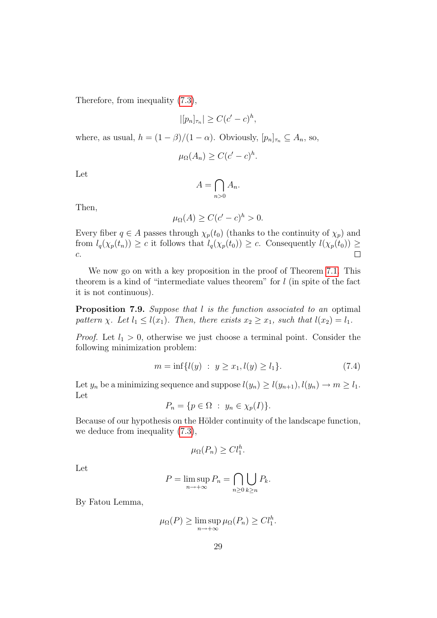Therefore, from inequality [\(7.3\)](#page-26-1),

$$
|[p_n]_{\tau_n}| \ge C(c'-c)^h,
$$

where, as usual,  $h = (1 - \beta)/(1 - \alpha)$ . Obviously,  $[p_n]_{\tau_n} \subseteq A_n$ , so,

$$
\mu_{\Omega}(A_n) \ge C(c'-c)^h.
$$

Let

$$
A = \bigcap_{n>0} A_n.
$$

Then,

$$
\mu_{\Omega}(A) \ge C(c'-c)^h > 0.
$$

Every fiber  $q \in A$  passes through  $\chi_p(t_0)$  (thanks to the continuity of  $\chi_p$ ) and from  $l_q(\chi_p(t_n)) \ge c$  it follows that  $l_q(\chi_p(t_0)) \ge c$ . Consequently  $l(\chi_p(t_0)) \ge c$  $\Box$ c.

We now go on with a key proposition in the proof of Theorem [7.1.](#page-3-0) This theorem is a kind of "intermediate values theorem" for l (in spite of the fact it is not continuous).

Proposition 7.9. Suppose that l is the function associated to an optimal pattern  $\chi$ . Let  $l_1 \leq l(x_1)$ . Then, there exists  $x_2 \geq x_1$ , such that  $l(x_2) = l_1$ .

*Proof.* Let  $l_1 > 0$ , otherwise we just choose a terminal point. Consider the following minimization problem:

<span id="page-28-0"></span>
$$
m = \inf\{l(y) : y \ge x_1, l(y) \ge l_1\}.
$$
\n(7.4)

Let  $y_n$  be a minimizing sequence and suppose  $l(y_n) \ge l(y_{n+1}), l(y_n) \to m \ge l_1$ . Let

$$
P_n = \{ p \in \Omega : y_n \in \chi_p(I) \}.
$$

Because of our hypothesis on the Hölder continuity of the landscape function, we deduce from inequality [\(7.3\)](#page-26-1),

$$
\mu_{\Omega}(P_n) \geq C l_1^h.
$$

Let

$$
P = \limsup_{n \to +\infty} P_n = \bigcap_{n \ge 0} \bigcup_{k \ge n} P_k.
$$

By Fatou Lemma,

$$
\mu_{\Omega}(P) \ge \limsup_{n \to +\infty} \mu_{\Omega}(P_n) \ge C l_1^h.
$$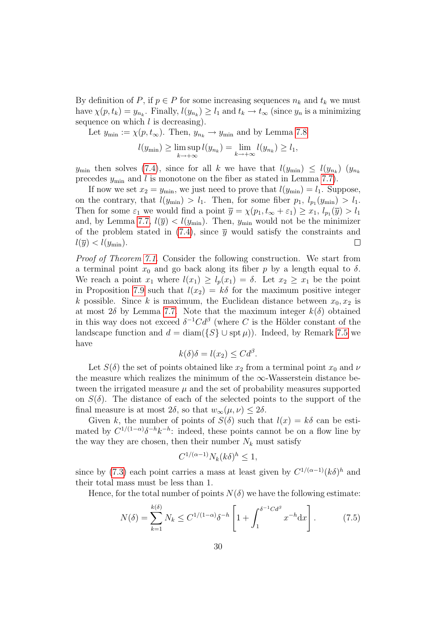By definition of P, if  $p \in P$  for some increasing sequences  $n_k$  and  $t_k$  we must have  $\chi(p, t_k) = y_{n_k}$ . Finally,  $l(y_{n_k}) \ge l_1$  and  $t_k \to t_\infty$  (since  $y_n$  is a minimizing sequence on which  $l$  is decreasing).

Let 
$$
y_{\min} := \chi(p, t_{\infty})
$$
. Then,  $y_{n_k} \to y_{\min}$  and by Lemma 7.8  

$$
l(y_{\min}) \ge \limsup_{k \to +\infty} l(y_{n_k}) = \lim_{k \to +\infty} l(y_{n_k}) \ge l_1,
$$

 $y_{\min}$  then solves [\(7.4\)](#page-28-0), since for all k we have that  $l(y_{\min}) \leq l(y_{n_k})$   $(y_{n_k})$ precedes  $y_{\text{min}}$  and l is monotone on the fiber as stated in Lemma [7.7\)](#page-9-1).

If now we set  $x_2 = y_{\text{min}}$ , we just need to prove that  $l(y_{\text{min}}) = l_1$ . Suppose, on the contrary, that  $l(y_{\min}) > l_1$ . Then, for some fiber  $p_1, l_{p_1}(y_{\min}) > l_1$ . Then for some  $\varepsilon_1$  we would find a point  $\overline{y} = \chi(p_1, t_\infty + \varepsilon_1) \ge x_1, l_{p_1}(\overline{y}) > l_1$ and, by Lemma [7.7,](#page-9-1)  $l(\bar{y}) < l(y_{\min})$ . Then,  $y_{\min}$  would not be the minimizer of the problem stated in [\(7.4\)](#page-28-0), since  $\bar{y}$  would satisfy the constraints and  $l(\overline{y}) < l(y_{\min}).$  $\Box$ 

Proof of Theorem [7.1.](#page-3-0) Consider the following construction. We start from a terminal point  $x_0$  and go back along its fiber p by a length equal to  $\delta$ . We reach a point  $x_1$  where  $l(x_1) \geq l_p(x_1) = \delta$ . Let  $x_2 \geq x_1$  be the point in Proposition [7.9](#page-10-3) such that  $l(x_2) = k\delta$  for the maximum positive integer k possible. Since k is maximum, the Euclidean distance between  $x_0, x_2$  is at most  $2\delta$  by Lemma [7.7.](#page-9-1) Note that the maximum integer  $k(\delta)$  obtained in this way does not exceed  $\delta^{-1}C d^{\beta}$  (where C is the Hölder constant of the landscape function and  $d = \text{diam}(\{S\} \cup \text{spt }\mu)$ . Indeed, by Remark [7.5](#page-8-1) we have

$$
k(\delta)\delta = l(x_2) \leq C d^{\beta}.
$$

Let  $S(\delta)$  the set of points obtained like  $x_2$  from a terminal point  $x_0$  and  $\nu$ the measure which realizes the minimum of the  $\infty$ -Wasserstein distance between the irrigated measure  $\mu$  and the set of probability measures supported on  $S(\delta)$ . The distance of each of the selected points to the support of the final measure is at most  $2\delta$ , so that  $w_{\infty}(\mu, \nu) \leq 2\delta$ .

Given k, the number of points of  $S(\delta)$  such that  $l(x) = k\delta$  can be estimated by  $C^{1/(1-\alpha)}\delta^{-h}k^{-h}$ : indeed, these points cannot be on a flow line by the way they are chosen, then their number  $N_k$  must satisfy

$$
C^{1/(\alpha-1)}N_k(k\delta)^h \le 1,
$$

since by [\(7.3\)](#page-26-1) each point carries a mass at least given by  $C^{1/(\alpha-1)}(k\delta)^h$  and their total mass must be less than 1.

Hence, for the total number of points  $N(\delta)$  we have the following estimate:

<span id="page-29-0"></span>
$$
N(\delta) = \sum_{k=1}^{k(\delta)} N_k \le C^{1/(1-\alpha)} \delta^{-h} \left[ 1 + \int_1^{\delta^{-1} C d^{\beta}} x^{-h} dx \right].
$$
 (7.5)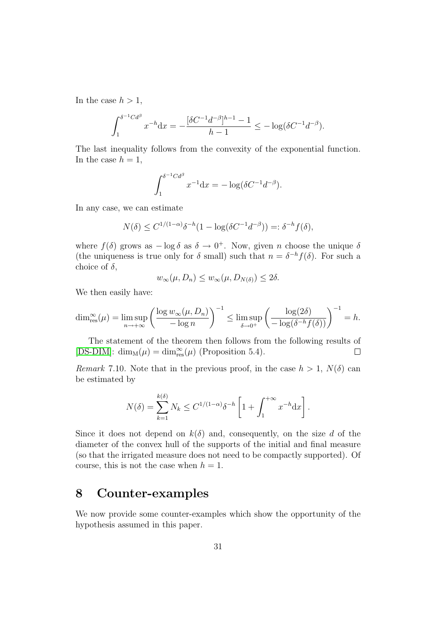In the case  $h > 1$ ,

$$
\int_1^{\delta^{-1}Cd^{\beta}} x^{-h} dx = -\frac{[\delta C^{-1}d^{-\beta}]^{h-1} - 1}{h-1} \le -\log(\delta C^{-1}d^{-\beta}).
$$

The last inequality follows from the convexity of the exponential function. In the case  $h = 1$ ,

$$
\int_1^{\delta^{-1}Cd^{\beta}} x^{-1}dx = -\log(\delta C^{-1}d^{-\beta}).
$$

In any case, we can estimate

$$
N(\delta) \le C^{1/(1-\alpha)} \delta^{-h} (1 - \log(\delta C^{-1} d^{-\beta})) =: \delta^{-h} f(\delta),
$$

where  $f(\delta)$  grows as  $-\log \delta$  as  $\delta \to 0^+$ . Now, given n choose the unique  $\delta$ (the uniqueness is true only for  $\delta$  small) such that  $n = \delta^{-h} f(\delta)$ . For such a choice of  $\delta$ ,

$$
w_{\infty}(\mu, D_n) \le w_{\infty}(\mu, D_{N(\delta)}) \le 2\delta.
$$

We then easily have:

$$
\dim_{\text{res}}^{\infty}(\mu) = \limsup_{n \to +\infty} \left( \frac{\log w_{\infty}(\mu, D_n)}{-\log n} \right)^{-1} \leq \limsup_{\delta \to 0^+} \left( \frac{\log(2\delta)}{-\log(\delta^{-h}f(\delta))} \right)^{-1} = h.
$$

The statement of the theorem then follows from the following results of [\[DS-DIM\]](#page-40-4):  $\dim_M(\mu) = \dim_{\text{res}}^{\infty}(\mu)$  (Proposition 5.4).  $\Box$ 

Remark 7.10. Note that in the previous proof, in the case  $h > 1$ ,  $N(\delta)$  can be estimated by

$$
N(\delta) = \sum_{k=1}^{k(\delta)} N_k \le C^{1/(1-\alpha)} \delta^{-h} \left[ 1 + \int_1^{+\infty} x^{-h} \mathrm{d}x \right].
$$

Since it does not depend on  $k(\delta)$  and, consequently, on the size d of the diameter of the convex hull of the supports of the initial and final measure (so that the irrigated measure does not need to be compactly supported). Of course, this is not the case when  $h = 1$ .

## <span id="page-30-0"></span>8 Counter-examples

We now provide some counter-examples which show the opportunity of the hypothesis assumed in this paper.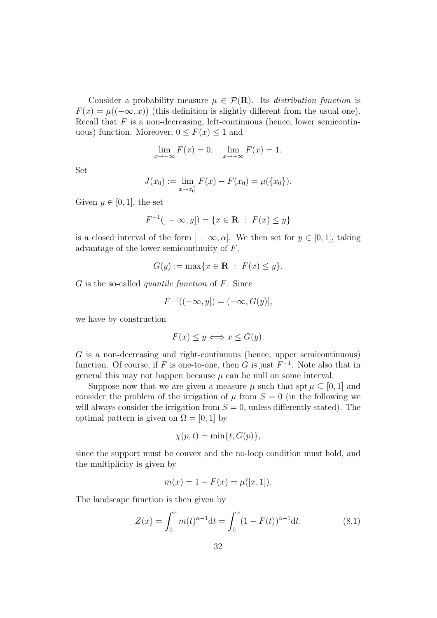Consider a probability measure  $\mu \in \mathcal{P}(\mathbf{R})$ . Its *distribution function* is  $F(x) = \mu((-\infty, x))$  (this definition is slightly different from the usual one). Recall that  $F$  is a non-decreasing, left-continuous (hence, lower semicontinuous) function. Moreover,  $0 \leq F(x) \leq 1$  and

$$
\lim_{x \to -\infty} F(x) = 0, \quad \lim_{x \to +\infty} F(x) = 1.
$$

Set

$$
J(x_0) := \lim_{x \to x_0^+} F(x) - F(x_0) = \mu(\{x_0\}).
$$

Given  $y \in [0, 1]$ , the set

$$
F^{-1}(]-\infty, y]) = \{x \in \mathbf{R} : F(x) \le y\}
$$

is a closed interval of the form  $] - \infty, \alpha]$ . We then set for  $y \in [0, 1]$ , taking advantage of the lower semicontinuity of F,

$$
G(y) := \max\{x \in \mathbf{R} : F(x) \le y\}.
$$

 $G$  is the so-called *quantile function* of  $F$ . Since

$$
F^{-1}((-\infty, y]) = (-\infty, G(y)],
$$

we have by construction

$$
F(x) \le y \Longleftrightarrow x \le G(y).
$$

G is a non-decreasing and right-continuous (hence, upper semicontinuous) function. Of course, if F is one-to-one, then G is just  $F^{-1}$ . Note also that in general this may not happen because  $\mu$  can be null on some interval.

Suppose now that we are given a measure  $\mu$  such that spt  $\mu \subseteq [0, 1]$  and consider the problem of the irrigation of  $\mu$  from  $S = 0$  (in the following we will always consider the irrigation from  $S = 0$ , unless differently stated). The optimal pattern is given on  $\Omega = [0, 1]$  by

$$
\chi(p,t) = \min\{t, G(p)\},\
$$

since the support must be convex and the no-loop condition must hold, and the multiplicity is given by

$$
m(x) = 1 - F(x) = \mu([x, 1]).
$$

The landscape function is then given by

<span id="page-31-0"></span>
$$
Z(x) = \int_0^x m(t)^{\alpha - 1} dt = \int_0^x (1 - F(t))^{\alpha - 1} dt.
$$
 (8.1)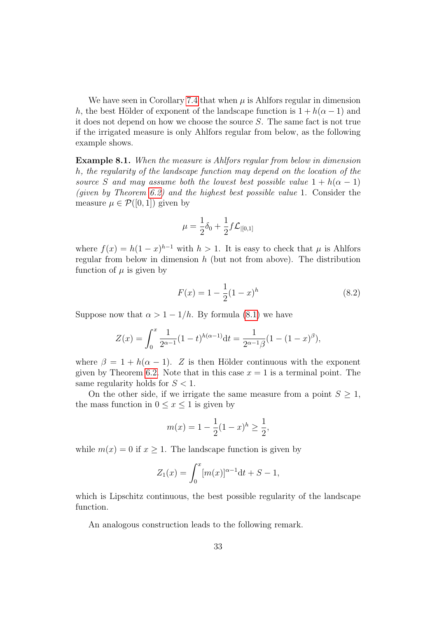We have seen in Corollary [7.4](#page-4-0) that when  $\mu$  is Ahlfors regular in dimension h, the best Hölder of exponent of the landscape function is  $1 + h(\alpha - 1)$  and it does not depend on how we choose the source S. The same fact is not true if the irrigated measure is only Ahlfors regular from below, as the following example shows.

Example 8.1. When the measure is Ahlfors regular from below in dimension h, the regularity of the landscape function may depend on the location of the source S and may assume both the lowest best possible value  $1 + h(\alpha - 1)$ (given by Theorem [6.2\)](#page-3-1) and the highest best possible value 1. Consider the measure  $\mu \in \mathcal{P}([0,1])$  given by

$$
\mu = \frac{1}{2}\delta_0 + \frac{1}{2}f\mathcal{L}_{|[0,1]}
$$

where  $f(x) = h(1-x)^{h-1}$  with  $h > 1$ . It is easy to check that  $\mu$  is Ahlfors regular from below in dimension  $h$  (but not from above). The distribution function of  $\mu$  is given by

$$
F(x) = 1 - \frac{1}{2}(1 - x)^h
$$
\n(8.2)

Suppose now that  $\alpha > 1 - 1/h$ . By formula [\(8.1\)](#page-31-0) we have

$$
Z(x) = \int_0^x \frac{1}{2^{\alpha - 1}} (1 - t)^{h(\alpha - 1)} dt = \frac{1}{2^{\alpha - 1}\beta} (1 - (1 - x)^{\beta}),
$$

where  $\beta = 1 + h(\alpha - 1)$ . Z is then Hölder continuous with the exponent given by Theorem [6.2.](#page-3-1) Note that in this case  $x = 1$  is a terminal point. The same regularity holds for  $S < 1$ .

On the other side, if we irrigate the same measure from a point  $S \geq 1$ , the mass function in  $0 \leq x \leq 1$  is given by

$$
m(x) = 1 - \frac{1}{2}(1 - x)^h \ge \frac{1}{2},
$$

while  $m(x) = 0$  if  $x \ge 1$ . The landscape function is given by

$$
Z_1(x) = \int_0^x [m(x)]^{\alpha - 1} \mathrm{d}t + S - 1,
$$

which is Lipschitz continuous, the best possible regularity of the landscape function.

An analogous construction leads to the following remark.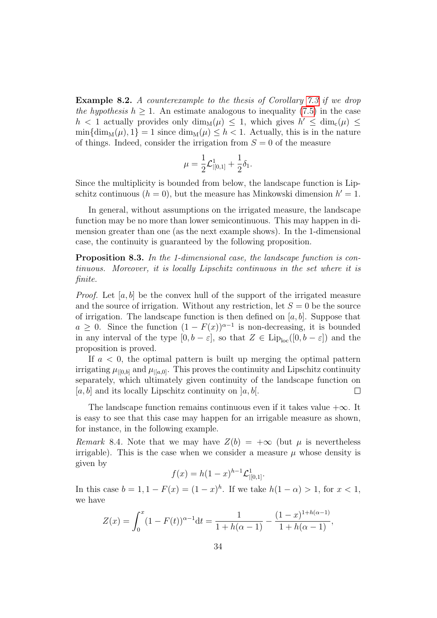Example 8.2. A counterexample to the thesis of Corollary [7.3](#page-3-2) if we drop the hypothesis  $h > 1$ . An estimate analogous to inequality [\(7.5\)](#page-29-0) in the case  $h$  < 1 actually provides only  $\dim_M(\mu) \leq 1$ , which gives  $h' \leq \dim_c(\mu) \leq$  $\min\{\dim_M(\mu), 1\} = 1$  since  $\dim_M(\mu) \leq h < 1$ . Actually, this is in the nature of things. Indeed, consider the irrigation from  $S = 0$  of the measure

$$
\mu = \frac{1}{2} \mathcal{L}^1_{|[0,1]} + \frac{1}{2} \delta_1.
$$

Since the multiplicity is bounded from below, the landscape function is Lipschitz continuous  $(h = 0)$ , but the measure has Minkowski dimension  $h' = 1$ .

In general, without assumptions on the irrigated measure, the landscape function may be no more than lower semicontinuous. This may happen in dimension greater than one (as the next example shows). In the 1-dimensional case, the continuity is guaranteed by the following proposition.

Proposition 8.3. In the 1-dimensional case, the landscape function is continuous. Moreover, it is locally Lipschitz continuous in the set where it is finite.

*Proof.* Let  $[a, b]$  be the convex hull of the support of the irrigated measure and the source of irrigation. Without any restriction, let  $S = 0$  be the source of irrigation. The landscape function is then defined on  $[a, b]$ . Suppose that  $a \geq 0$ . Since the function  $(1 - F(x))^{\alpha-1}$  is non-decreasing, it is bounded in any interval of the type  $[0, b - \varepsilon]$ , so that  $Z \in \text{Lip}_{\text{loc}}([0, b - \varepsilon])$  and the proposition is proved.

If  $a < 0$ , the optimal pattern is built up merging the optimal pattern irrigating  $\mu_{0,b}$  and  $\mu_{0,b}$ . This proves the continuity and Lipschitz continuity separately, which ultimately given continuity of the landscape function on  $[a, b]$  and its locally Lipschitz continuity on  $[a, b]$ . П

The landscape function remains continuous even if it takes value  $+\infty$ . It is easy to see that this case may happen for an irrigable measure as shown, for instance, in the following example.

Remark 8.4. Note that we may have  $Z(b) = +\infty$  (but  $\mu$  is nevertheless irrigable). This is the case when we consider a measure  $\mu$  whose density is given by

$$
f(x) = h(1-x)^{h-1} \mathcal{L}^1_{|[0,1]}.
$$

In this case  $b = 1, 1 - F(x) = (1 - x)^h$ . If we take  $h(1 - \alpha) > 1$ , for  $x < 1$ , we have

$$
Z(x) = \int_0^x (1 - F(t))^{\alpha - 1} dt = \frac{1}{1 + h(\alpha - 1)} - \frac{(1 - x)^{1 + h(\alpha - 1)}}{1 + h(\alpha - 1)},
$$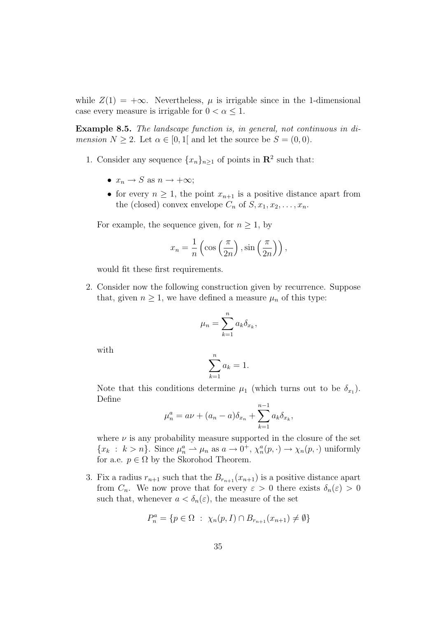while  $Z(1) = +\infty$ . Nevertheless,  $\mu$  is irrigable since in the 1-dimensional case every measure is irrigable for  $0 < \alpha \leq 1$ .

Example 8.5. The landscape function is, in general, not continuous in di*mension*  $N \geq 2$ . Let  $\alpha \in [0,1]$  and let the source be  $S = (0,0)$ .

- 1. Consider any sequence  $\{x_n\}_{n\geq 1}$  of points in  $\mathbb{R}^2$  such that:
	- $x_n \to S$  as  $n \to +\infty$ ;
	- for every  $n \geq 1$ , the point  $x_{n+1}$  is a positive distance apart from the (closed) convex envelope  $C_n$  of  $S, x_1, x_2, \ldots, x_n$ .

For example, the sequence given, for  $n \geq 1$ , by

$$
x_n = \frac{1}{n} \left( \cos \left( \frac{\pi}{2n} \right), \sin \left( \frac{\pi}{2n} \right) \right),\,
$$

would fit these first requirements.

2. Consider now the following construction given by recurrence. Suppose that, given  $n \geq 1$ , we have defined a measure  $\mu_n$  of this type:

$$
\mu_n = \sum_{k=1}^n a_k \delta_{x_k},
$$

with

$$
\sum_{k=1}^{n} a_k = 1.
$$

Note that this conditions determine  $\mu_1$  (which turns out to be  $\delta_{x_1}$ ). Define

$$
\mu_n^a = a\nu + (a_n - a)\delta_{x_n} + \sum_{k=1}^{n-1} a_k \delta_{x_k},
$$

where  $\nu$  is any probability measure supported in the closure of the set  ${x_k : k > n}$ . Since  $\mu_n^a \to \mu_n$  as  $a \to 0^+, \chi_n^a(p, \cdot) \to \chi_n(p, \cdot)$  uniformly for a.e.  $p \in \Omega$  by the Skorohod Theorem.

3. Fix a radius  $r_{n+1}$  such that the  $B_{r_{n+1}}(x_{n+1})$  is a positive distance apart from  $C_n$ . We now prove that for every  $\varepsilon > 0$  there exists  $\delta_n(\varepsilon) > 0$ such that, whenever  $a < \delta_n(\varepsilon)$ , the measure of the set

$$
P_n^a = \{ p \in \Omega : \ \chi_n(p, I) \cap B_{r_{n+1}}(x_{n+1}) \neq \emptyset \}
$$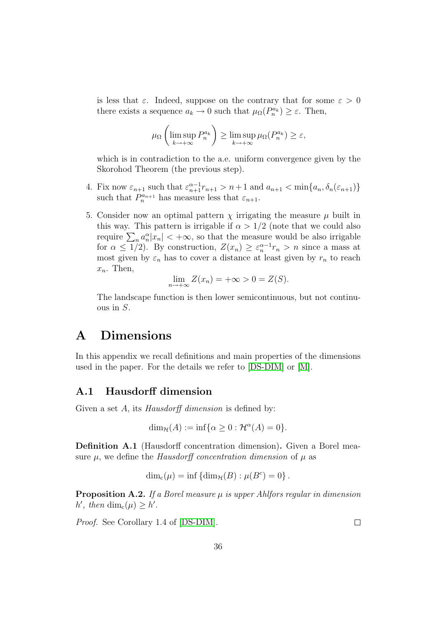is less that  $\varepsilon$ . Indeed, suppose on the contrary that for some  $\varepsilon > 0$ there exists a sequence  $a_k \to 0$  such that  $\mu_{\Omega}(P_n^{a_k}) \geq \varepsilon$ . Then,

$$
\mu_{\Omega}\left(\limsup_{k\to+\infty} P_n^{a_k}\right) \ge \limsup_{k\to+\infty} \mu_{\Omega}(P_n^{a_k}) \ge \varepsilon,
$$

which is in contradiction to the a.e. uniform convergence given by the Skorohod Theorem (the previous step).

- 4. Fix now  $\varepsilon_{n+1}$  such that  $\varepsilon_{n+1}^{\alpha-1}r_{n+1} > n+1$  and  $a_{n+1} < \min\{a_n, \delta_n(\varepsilon_{n+1})\}$ such that  $P_n^{a_{n+1}}$  has measure less that  $\varepsilon_{n+1}$ .
- 5. Consider now an optimal pattern  $\chi$  irrigating the measure  $\mu$  built in this way. This pattern is irrigable if  $\alpha > 1/2$  (note that we could also require  $\sum_{n} a_n^{\alpha} |x_n| < +\infty$ , so that the measure would be also irrigable for  $\alpha \leq 1/2$ ). By construction,  $Z(x_n) \geq \varepsilon_n^{\alpha-1} r_n > n$  since a mass at most given by  $\varepsilon_n$  has to cover a distance at least given by  $r_n$  to reach  $x_n$ . Then,

$$
\lim_{n \to +\infty} Z(x_n) = +\infty > 0 = Z(S).
$$

The landscape function is then lower semicontinuous, but not continuous in S.

## <span id="page-35-0"></span>A Dimensions

In this appendix we recall definitions and main properties of the dimensions used in the paper. For the details we refer to [\[DS-DIM\]](#page-40-4) or [\[M\]](#page-41-7).

### A.1 Hausdorff dimension

Given a set A, its *Hausdorff dimension* is defined by:

$$
\dim_{\mathcal{H}}(A) := \inf \{ \alpha \ge 0 : \mathcal{H}^{\alpha}(A) = 0 \}.
$$

Definition A.1 (Hausdorff concentration dimension). Given a Borel measure  $\mu$ , we define the *Hausdorff concentration dimension* of  $\mu$  as

$$
\dim_{\mathbf{c}}(\mu) = \inf \{ \dim_{\mathcal{H}}(B) : \mu(B^c) = 0 \}.
$$

**Proposition A.2.** If a Borel measure  $\mu$  is upper Ahlfors regular in dimension h', then  $\dim_c(\mu) \geq h'$ .

Proof. See Corollary 1.4 of [\[DS-DIM\]](#page-40-4).

 $\Box$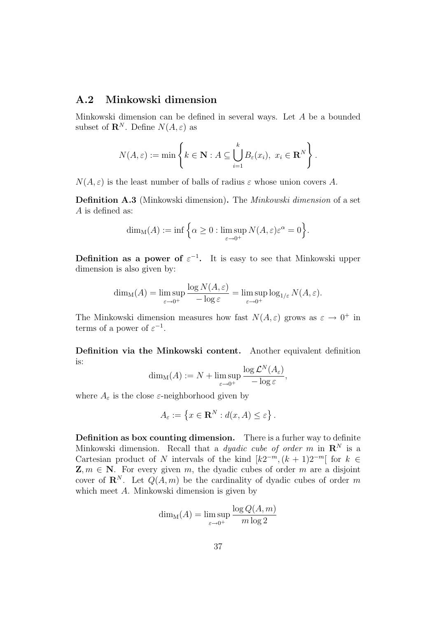### A.2 Minkowski dimension

Minkowski dimension can be defined in several ways. Let A be a bounded subset of  $\mathbf{R}^N$ . Define  $N(A,\varepsilon)$  as

$$
N(A,\varepsilon) := \min \left\{ k \in \mathbf{N} : A \subseteq \bigcup_{i=1}^{k} B_{\varepsilon}(x_i), \ x_i \in \mathbf{R}^{N} \right\}.
$$

 $N(A, \varepsilon)$  is the least number of balls of radius  $\varepsilon$  whose union covers A.

Definition A.3 (Minkowski dimension). The Minkowski dimension of a set A is defined as:

$$
\dim_{\mathcal{M}}(A) := \inf \Big\{ \alpha \ge 0 : \limsup_{\varepsilon \to 0^+} N(A, \varepsilon) \varepsilon^{\alpha} = 0 \Big\}.
$$

**Definition as a power of**  $\varepsilon^{-1}$ . It is easy to see that Minkowski upper dimension is also given by:

$$
\dim_{\mathcal{M}}(A) = \limsup_{\varepsilon \to 0^+} \frac{\log N(A, \varepsilon)}{-\log \varepsilon} = \limsup_{\varepsilon \to 0^+} \log_{1/\varepsilon} N(A, \varepsilon).
$$

The Minkowski dimension measures how fast  $N(A, \varepsilon)$  grows as  $\varepsilon \to 0^+$  in terms of a power of  $\varepsilon^{-1}$ .

Definition via the Minkowski content. Another equivalent definition is:

$$
\dim_{\mathcal{M}}(A) := N + \limsup_{\varepsilon \to 0^+} \frac{\log \mathcal{L}^N(A_{\varepsilon})}{-\log \varepsilon},
$$

where  $A_{\varepsilon}$  is the close  $\varepsilon$ -neighborhood given by

$$
A_{\varepsilon} := \left\{ x \in \mathbf{R}^{N} : d(x, A) \le \varepsilon \right\}.
$$

Definition as box counting dimension. There is a furher way to definite Minkowski dimension. Recall that a *dyadic cube of order m* in  $\mathbb{R}^N$  is a Cartesian product of N intervals of the kind  $[k2^{-m}, (k+1)2^{-m}]$  for  $k \in$  $\mathbf{Z}, m \in \mathbf{N}$ . For every given m, the dyadic cubes of order m are a disjoint cover of  $\mathbb{R}^N$ . Let  $Q(A, m)$  be the cardinality of dyadic cubes of order m which meet A. Minkowski dimension is given by

$$
\dim_{\mathcal{M}}(A) = \limsup_{\varepsilon \to 0^+} \frac{\log Q(A, m)}{m \log 2}
$$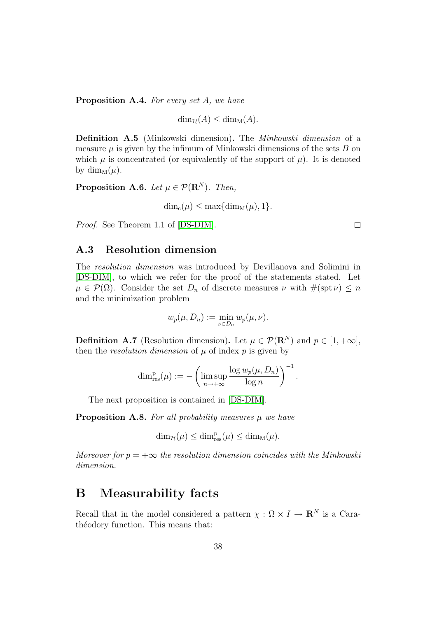Proposition A.4. For every set A, we have

$$
\dim_{\mathcal{H}}(A) \le \dim_{\mathcal{M}}(A).
$$

Definition A.5 (Minkowski dimension). The Minkowski dimension of a measure  $\mu$  is given by the infimum of Minkowski dimensions of the sets  $B$  on which  $\mu$  is concentrated (or equivalently of the support of  $\mu$ ). It is denoted by dim<sub>M</sub> $(\mu)$ .

**Proposition A.6.** Let  $\mu \in \mathcal{P}(\mathbb{R}^N)$ . Then,

$$
\dim_{c}(\mu) \leq \max\{\dim_{M}(\mu), 1\}.
$$

Proof. See Theorem 1.1 of [\[DS-DIM\]](#page-40-4).

#### A.3 Resolution dimension

The resolution dimension was introduced by Devillanova and Solimini in [\[DS-DIM\]](#page-40-4), to which we refer for the proof of the statements stated. Let  $\mu \in \mathcal{P}(\Omega)$ . Consider the set  $D_n$  of discrete measures  $\nu$  with  $\#(\text{spt }\nu) \leq n$ and the minimization problem

$$
w_p(\mu, D_n) := \min_{\nu \in D_n} w_p(\mu, \nu).
$$

**Definition A.7** (Resolution dimension). Let  $\mu \in \mathcal{P}(\mathbb{R}^N)$  and  $p \in [1, +\infty]$ , then the *resolution dimension* of  $\mu$  of index  $p$  is given by

$$
\dim_{\text{res}}^p(\mu) := -\left(\limsup_{n\to+\infty} \frac{\log w_p(\mu, D_n)}{\log n}\right)^{-1}.
$$

The next proposition is contained in [\[DS-DIM\]](#page-40-4).

**Proposition A.8.** For all probability measures  $\mu$  we have

 $\dim_{\mathcal{H}}(\mu) \leq \dim_{\text{res}}^p(\mu) \leq \dim_M(\mu).$ 

Moreover for  $p = +\infty$  the resolution dimension coincides with the Minkowski dimension.

### <span id="page-37-0"></span>B Measurability facts

Recall that in the model considered a pattern  $\chi : \Omega \times I \to \mathbf{R}^N$  is a Carathéodory function. This means that:

 $\Box$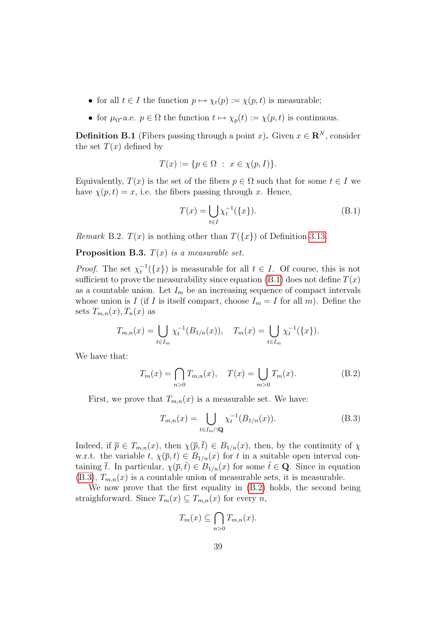- for all  $t \in I$  the function  $p \mapsto \chi_t(p) := \chi(p, t)$  is measurable;
- for  $\mu_{\Omega}$ -a.e.  $p \in \Omega$  the function  $t \mapsto \chi_p(t) := \chi(p, t)$  is continuous.

**Definition B.1** (Fibers passing through a point x). Given  $x \in \mathbb{R}^N$ , consider the set  $T(x)$  defined by

$$
T(x) := \{ p \in \Omega \; : \; x \in \chi(p, I) \}.
$$

Equivalently,  $T(x)$  is the set of the fibers  $p \in \Omega$  such that for some  $t \in I$  we have  $\chi(p, t) = x$ , i.e. the fibers passing through x. Hence,

<span id="page-38-0"></span>
$$
T(x) = \bigcup_{t \in I} \chi_t^{-1}(\{x\}).
$$
 (B.1)

*Remark* B.2.  $T(x)$  is nothing other than  $T({x})$  of Definition [3.13.](#page-15-2)

**Proposition B.3.**  $T(x)$  is a measurable set.

*Proof.* The set  $\chi_t^{-1}(\lbrace x \rbrace)$  is measurable for all  $t \in I$ . Of course, this is not sufficient to prove the measurability since equation  $(B.1)$  does not define  $T(x)$ as a countable union. Let  $I_m$  be an increasing sequence of compact intervals whose union is I (if I is itself compact, choose  $I_m = I$  for all m). Define the sets  $T_{m,n}(x)$ ,  $T_n(x)$  as

$$
T_{m,n}(x) = \bigcup_{t \in I_m} \chi_t^{-1}(B_{1/n}(x)), \quad T_m(x) = \bigcup_{t \in I_m} \chi_t^{-1}(\{x\}).
$$

We have that:

<span id="page-38-2"></span>
$$
T_m(x) = \bigcap_{n>0} T_{m,n}(x), \quad T(x) = \bigcup_{m>0} T_m(x).
$$
 (B.2)

First, we prove that  $T_{m,n}(x)$  is a measurable set. We have:

<span id="page-38-1"></span>
$$
T_{m,n}(x) = \bigcup_{t \in I_m \cap \mathbf{Q}} \chi_t^{-1}(B_{1/n}(x)).
$$
 (B.3)

Indeed, if  $\overline{p} \in T_{m,n}(x)$ , then  $\chi(\overline{p},\overline{t}) \in B_{1/n}(x)$ , then, by the continuity of  $\chi$ w.r.t. the variable  $t, \chi(\bar{p}, t) \in B_{1/n}(x)$  for t in a suitable open interval containing  $\bar{t}$ . In particular,  $\chi(\bar{p},\tilde{t}) \in B_{1/n}(x)$  for some  $\tilde{t} \in \mathbf{Q}$ . Since in equation  $(B.3), T_{m,n}(x)$  $(B.3), T_{m,n}(x)$  is a countable union of measurable sets, it is measurable.

We now prove that the first equality in [\(B.2\)](#page-38-2) holds, the second being straighforward. Since  $T_m(x) \subseteq T_{m,n}(x)$  for every n,

$$
T_m(x) \subseteq \bigcap_{n>0} T_{m,n}(x).
$$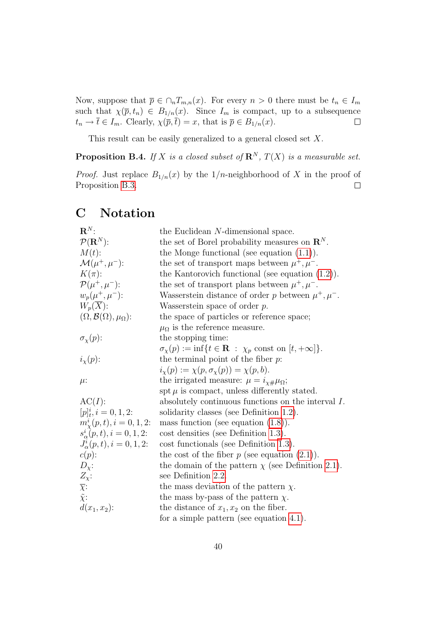Now, suppose that  $\bar{p} \in \bigcap_n T_{m,n}(x)$ . For every  $n > 0$  there must be  $t_n \in I_m$ such that  $\chi(\bar{p}, t_n) \in B_{1/n}(x)$ . Since  $I_m$  is compact, up to a subsequence  $t_n \to \overline{t} \in I_m$ . Clearly,  $\chi(\overline{p}, \overline{t}) = x$ , that is  $\overline{p} \in B_{1/n}(x)$ .  $\Box$ 

This result can be easily generalized to a general closed set  $X$ .

**Proposition B.4.** If X is a closed subset of  $\mathbb{R}^N$ ,  $T(X)$  is a measurable set.

*Proof.* Just replace  $B_{1/n}(x)$  by the  $1/n$ -neighborhood of X in the proof of Proposition [B.3.](#page-3-2)  $\Box$ 

## <span id="page-39-0"></span>C Notation

| $\mathbf{R}^N$ :                                | the Euclidean N-dimensional space.                                                      |
|-------------------------------------------------|-----------------------------------------------------------------------------------------|
| $\mathcal{P}(\mathbf{R}^N)$ :                   | the set of Borel probability measures on $\mathbb{R}^{N}$ .                             |
| $M(t)$ :                                        | the Monge functional (see equation $(1.1)$ ).                                           |
| $\mathcal{M}(\mu^+,\mu^-)$ :                    | the set of transport maps between $\mu^+, \mu^-$ .                                      |
| $K(\pi)$ :                                      | the Kantorovich functional (see equation $(1.2)$ ).                                     |
| $\mathcal{P}(\mu^+,\mu^-)$ :                    | the set of transport plans between $\mu^+, \mu^-$ .                                     |
| $w_p(\mu^+, \mu^-)$ :                           | Wasserstein distance of order p between $\mu^+, \mu^-$ .                                |
| $W_p(X)$ :                                      | Wasserstein space of order $p$ .                                                        |
| $(\Omega, \mathcal{B}(\Omega), \mu_{\Omega})$ : | the space of particles or reference space;                                              |
|                                                 | $\mu_{\Omega}$ is the reference measure.                                                |
| $\sigma_{\chi}(p)$ :                            | the stopping time:                                                                      |
|                                                 | $\sigma_{\chi}(p) := \inf\{t \in \mathbf{R} : \chi_p \text{ const on } [t, +\infty]\}.$ |
| $i_{\mathbf{x}}(p)$ :                           | the terminal point of the fiber $p$ .                                                   |
|                                                 | $i_{\chi}(p) := \chi(p, \sigma_{\chi}(p)) = \chi(p, b).$                                |
| $\mu$ :                                         | the irrigated measure: $\mu = i_{\chi\#}\mu_{\Omega}$ ;                                 |
|                                                 | spt $\mu$ is compact, unless differently stated.                                        |
| $AC(I)$ :                                       | absolutely continuous functions on the interval $I$ .                                   |
| $[p]_t^i, i = 0, 1, 2$ :                        | solidarity classes (see Definition 1.2).                                                |
| $m_{\chi}^{i}(p,t), i=0,1,2$ :                  | mass function (see equation $(1.8)$ ).                                                  |
| $s^i_{\alpha}(p,t), i = 0,1,2$ :                | $\cos t$ densities (see Definition 1.3).                                                |
| $J^i_{\alpha}(p,t), i = 0,1,2$ :                | cost functionals (see Definition 1.3).                                                  |
| $c(p)$ :                                        | the cost of the fiber $p$ (see equation $(2.1)$ ).                                      |
| $D_{\chi}$ :                                    | the domain of the pattern $\chi$ (see Definition 2.1).                                  |
| $Z_{\chi}$ :                                    | see Definition 2.2.                                                                     |
| $\overline{\chi}$ :                             | the mass deviation of the pattern $\chi$ .                                              |
| $\tilde{\chi}$ :                                | the mass by-pass of the pattern $\chi$ .                                                |
| $d(x_1, x_2)$ :                                 | the distance of $x_1, x_2$ on the fiber.                                                |
|                                                 | for a simple pattern (see equation 4.1).                                                |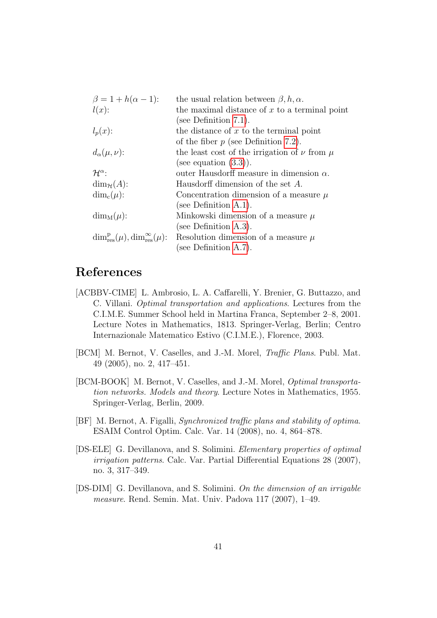| $\beta = 1 + h(\alpha - 1)$ :                                 | the usual relation between $\beta, h, \alpha$ .      |
|---------------------------------------------------------------|------------------------------------------------------|
| $l(x)$ :                                                      | the maximal distance of $x$ to a terminal point      |
|                                                               | (see Definition $7.1$ ).                             |
| $l_p(x)$ :                                                    | the distance of $x$ to the terminal point            |
|                                                               | of the fiber $p$ (see Definition 7.2).               |
| $d_{\alpha}(\mu,\nu)$ :                                       | the least cost of the irrigation of $\nu$ from $\mu$ |
|                                                               | (see equation $(3.3)$ ).                             |
| $\mathcal{H}^{\alpha}$ :                                      | outer Hausdorff measure in dimension $\alpha$ .      |
| $\dim_{\mathcal{H}}(A)$ :                                     | Hausdorff dimension of the set A.                    |
| $\dim_{\mathfrak{c}}(\mu)$ :                                  | Concentration dimension of a measure $\mu$           |
|                                                               | (see Definition $A.1$ ).                             |
| $\dim_M(\mu)$ :                                               | Minkowski dimension of a measure $\mu$               |
|                                                               | (see Definition $A.3$ ).                             |
| $\dim_{\text{res}}^p(\mu), \dim_{\text{res}}^{\infty}(\mu)$ : | Resolution dimension of a measure $\mu$              |
|                                                               | (see Definition $A.7$ ).                             |

## References

- <span id="page-40-0"></span>[ACBBV-CIME] L. Ambrosio, L. A. Caffarelli, Y. Brenier, G. Buttazzo, and C. Villani. Optimal transportation and applications. Lectures from the C.I.M.E. Summer School held in Martina Franca, September 2–8, 2001. Lecture Notes in Mathematics, 1813. Springer-Verlag, Berlin; Centro Internazionale Matematico Estivo (C.I.M.E.), Florence, 2003.
- <span id="page-40-1"></span>[BCM] M. Bernot, V. Caselles, and J.-M. Morel, Traffic Plans. Publ. Mat. 49 (2005), no. 2, 417–451.
- [BCM-BOOK] M. Bernot, V. Caselles, and J.-M. Morel, Optimal transportation networks. Models and theory. Lecture Notes in Mathematics, 1955. Springer-Verlag, Berlin, 2009.
- <span id="page-40-2"></span>[BF] M. Bernot, A. Figalli, Synchronized traffic plans and stability of optima. ESAIM Control Optim. Calc. Var. 14 (2008), no. 4, 864–878.
- <span id="page-40-3"></span>[DS-ELE] G. Devillanova, and S. Solimini. Elementary properties of optimal irrigation patterns. Calc. Var. Partial Differential Equations 28 (2007), no. 3, 317–349.
- <span id="page-40-4"></span>[DS-DIM] G. Devillanova, and S. Solimini. On the dimension of an irrigable measure. Rend. Semin. Mat. Univ. Padova 117 (2007), 1–49.